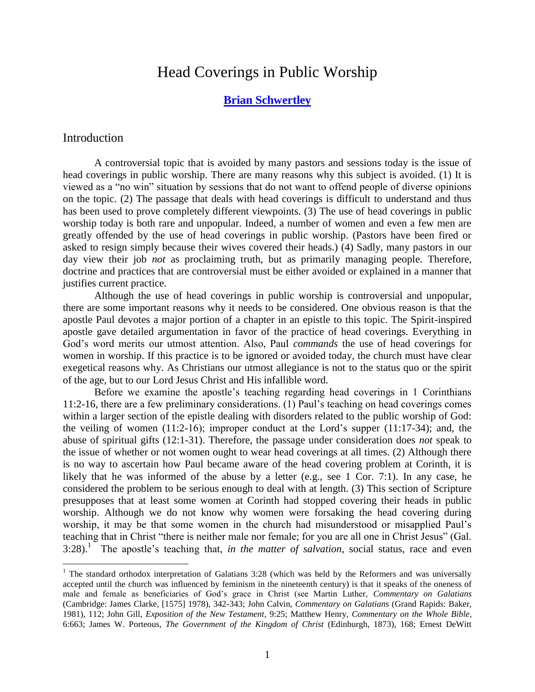# Head Coverings in Public Worship

# **[Brian Schwertley](http://reformedonline.com/about.html#OURP)**

#### Introduction

 $\overline{a}$ 

A controversial topic that is avoided by many pastors and sessions today is the issue of head coverings in public worship. There are many reasons why this subject is avoided. (1) It is viewed as a "no win" situation by sessions that do not want to offend people of diverse opinions on the topic. (2) The passage that deals with head coverings is difficult to understand and thus has been used to prove completely different viewpoints. (3) The use of head coverings in public worship today is both rare and unpopular. Indeed, a number of women and even a few men are greatly offended by the use of head coverings in public worship. (Pastors have been fired or asked to resign simply because their wives covered their heads.) (4) Sadly, many pastors in our day view their job *not* as proclaiming truth, but as primarily managing people. Therefore, doctrine and practices that are controversial must be either avoided or explained in a manner that justifies current practice.

Although the use of head coverings in public worship is controversial and unpopular, there are some important reasons why it needs to be considered. One obvious reason is that the apostle Paul devotes a major portion of a chapter in an epistle to this topic. The Spirit-inspired apostle gave detailed argumentation in favor of the practice of head coverings. Everything in God's word merits our utmost attention. Also, Paul *commands* the use of head coverings for women in worship. If this practice is to be ignored or avoided today, the church must have clear exegetical reasons why. As Christians our utmost allegiance is not to the status quo or the spirit of the age, but to our Lord Jesus Christ and His infallible word.

Before we examine the apostle's teaching regarding head coverings in 1 Corinthians 11:2-16, there are a few preliminary considerations. (1) Paul's teaching on head coverings comes within a larger section of the epistle dealing with disorders related to the public worship of God: the veiling of women (11:2-16); improper conduct at the Lord's supper (11:17-34); and, the abuse of spiritual gifts (12:1-31). Therefore, the passage under consideration does *not* speak to the issue of whether or not women ought to wear head coverings at all times. (2) Although there is no way to ascertain how Paul became aware of the head covering problem at Corinth, it is likely that he was informed of the abuse by a letter (e.g., see 1 Cor. 7:1). In any case, he considered the problem to be serious enough to deal with at length. (3) This section of Scripture presupposes that at least some women at Corinth had stopped covering their heads in public worship. Although we do not know why women were forsaking the head covering during worship, it may be that some women in the church had misunderstood or misapplied Paul's teaching that in Christ "there is neither male nor female; for you are all one in Christ Jesus" (Gal. 3:28). 1 The apostle's teaching that, *in the matter of salvation*, social status, race and even

<sup>&</sup>lt;sup>1</sup> The standard orthodox interpretation of Galatians 3:28 (which was held by the Reformers and was universally accepted until the church was influenced by feminism in the nineteenth century) is that it speaks of the oneness of male and female as beneficiaries of God's grace in Christ (see Martin Luther, *Commentary on Galatians* (Cambridge: James Clarke, [1575] 1978), 342-343; John Calvin, *Commentary on Galatians* (Grand Rapids: Baker, 1981), 112; John Gill, *Exposition of the New Testament*, 9:25; Matthew Henry, *Commentary on the Whole Bible*, 6:663; James W. Porteous, *The Government of the Kingdom of Christ* (Edinburgh, 1873), 168; Ernest DeWitt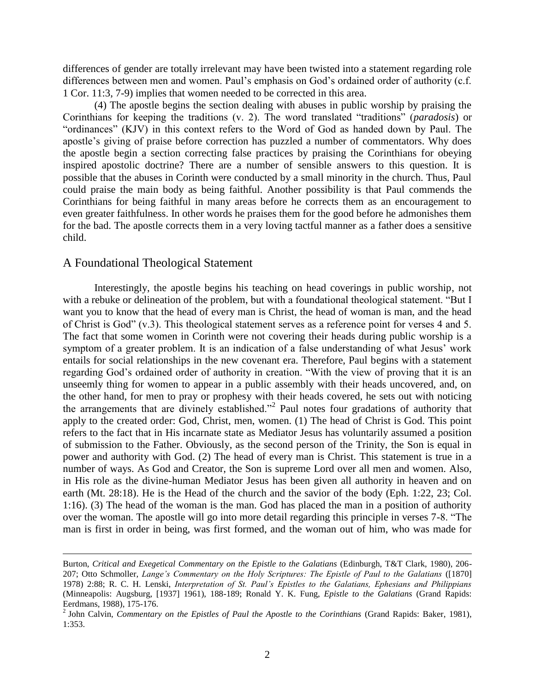differences of gender are totally irrelevant may have been twisted into a statement regarding role differences between men and women. Paul's emphasis on God's ordained order of authority (c.f. 1 Cor. 11:3, 7-9) implies that women needed to be corrected in this area.

(4) The apostle begins the section dealing with abuses in public worship by praising the Corinthians for keeping the traditions (v. 2). The word translated "traditions" (*paradosis*) or "ordinances" (KJV) in this context refers to the Word of God as handed down by Paul. The apostle's giving of praise before correction has puzzled a number of commentators. Why does the apostle begin a section correcting false practices by praising the Corinthians for obeying inspired apostolic doctrine? There are a number of sensible answers to this question. It is possible that the abuses in Corinth were conducted by a small minority in the church. Thus, Paul could praise the main body as being faithful. Another possibility is that Paul commends the Corinthians for being faithful in many areas before he corrects them as an encouragement to even greater faithfulness. In other words he praises them for the good before he admonishes them for the bad. The apostle corrects them in a very loving tactful manner as a father does a sensitive child.

### A Foundational Theological Statement

 $\overline{a}$ 

Interestingly, the apostle begins his teaching on head coverings in public worship, not with a rebuke or delineation of the problem, but with a foundational theological statement. "But I want you to know that the head of every man is Christ, the head of woman is man, and the head of Christ is God" (v.3). This theological statement serves as a reference point for verses 4 and 5. The fact that some women in Corinth were not covering their heads during public worship is a symptom of a greater problem. It is an indication of a false understanding of what Jesus' work entails for social relationships in the new covenant era. Therefore, Paul begins with a statement regarding God's ordained order of authority in creation. "With the view of proving that it is an unseemly thing for women to appear in a public assembly with their heads uncovered, and, on the other hand, for men to pray or prophesy with their heads covered, he sets out with noticing the arrangements that are divinely established."<sup>2</sup> Paul notes four gradations of authority that apply to the created order: God, Christ, men, women. (1) The head of Christ is God. This point refers to the fact that in His incarnate state as Mediator Jesus has voluntarily assumed a position of submission to the Father. Obviously, as the second person of the Trinity, the Son is equal in power and authority with God. (2) The head of every man is Christ. This statement is true in a number of ways. As God and Creator, the Son is supreme Lord over all men and women. Also, in His role as the divine-human Mediator Jesus has been given all authority in heaven and on earth (Mt. 28:18). He is the Head of the church and the savior of the body (Eph. 1:22, 23; Col. 1:16). (3) The head of the woman is the man. God has placed the man in a position of authority over the woman. The apostle will go into more detail regarding this principle in verses 7-8. "The man is first in order in being, was first formed, and the woman out of him, who was made for

Burton, *Critical and Exegetical Commentary on the Epistle to the Galatians* (Edinburgh, T&T Clark, 1980), 206- 207; Otto Schmoller, *Lange's Commentary on the Holy Scriptures: The Epistle of Paul to the Galatians* ([1870] 1978) 2:88; R. C. H. Lenski, *Interpretation of St. Paul's Epistles to the Galatians, Ephesians and Philippians* (Minneapolis: Augsburg, [1937] 1961), 188-189; Ronald Y. K. Fung, *Epistle to the Galatians* (Grand Rapids: Eerdmans, 1988), 175-176.

<sup>2</sup> John Calvin, *Commentary on the Epistles of Paul the Apostle to the Corinthians* (Grand Rapids: Baker, 1981), 1:353.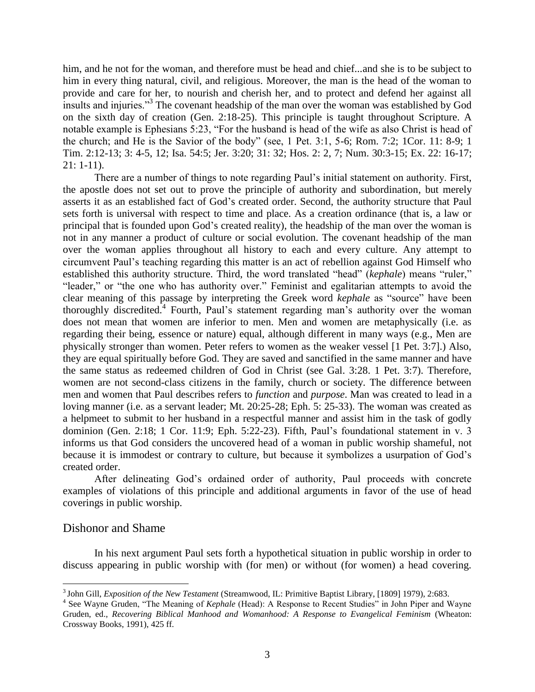him, and he not for the woman, and therefore must be head and chief...and she is to be subject to him in every thing natural, civil, and religious. Moreover, the man is the head of the woman to provide and care for her, to nourish and cherish her, and to protect and defend her against all insults and injuries."<sup>3</sup> The covenant headship of the man over the woman was established by God on the sixth day of creation (Gen. 2:18-25). This principle is taught throughout Scripture. A notable example is Ephesians 5:23, "For the husband is head of the wife as also Christ is head of the church; and He is the Savior of the body" (see, 1 Pet. 3:1, 5-6; Rom. 7:2; 1Cor. 11: 8-9; 1 Tim. 2:12-13; 3: 4-5, 12; Isa. 54:5; Jer. 3:20; 31: 32; Hos. 2: 2, 7; Num. 30:3-15; Ex. 22: 16-17; 21: 1-11).

There are a number of things to note regarding Paul's initial statement on authority. First, the apostle does not set out to prove the principle of authority and subordination, but merely asserts it as an established fact of God's created order. Second, the authority structure that Paul sets forth is universal with respect to time and place. As a creation ordinance (that is, a law or principal that is founded upon God's created reality), the headship of the man over the woman is not in any manner a product of culture or social evolution. The covenant headship of the man over the woman applies throughout all history to each and every culture. Any attempt to circumvent Paul's teaching regarding this matter is an act of rebellion against God Himself who established this authority structure. Third, the word translated "head" (*kephale*) means "ruler," "leader," or "the one who has authority over." Feminist and egalitarian attempts to avoid the clear meaning of this passage by interpreting the Greek word *kephale* as "source" have been thoroughly discredited.<sup>4</sup> Fourth, Paul's statement regarding man's authority over the woman does not mean that women are inferior to men. Men and women are metaphysically (i.e. as regarding their being, essence or nature) equal, although different in many ways (e.g., Men are physically stronger than women. Peter refers to women as the weaker vessel [1 Pet. 3:7].) Also, they are equal spiritually before God. They are saved and sanctified in the same manner and have the same status as redeemed children of God in Christ (see Gal. 3:28. 1 Pet. 3:7). Therefore, women are not second-class citizens in the family, church or society. The difference between men and women that Paul describes refers to *function* and *purpose*. Man was created to lead in a loving manner (i.e. as a servant leader; Mt. 20:25-28; Eph. 5: 25-33). The woman was created as a helpmeet to submit to her husband in a respectful manner and assist him in the task of godly dominion (Gen. 2:18; 1 Cor. 11:9; Eph. 5:22-23). Fifth, Paul's foundational statement in v. 3 informs us that God considers the uncovered head of a woman in public worship shameful, not because it is immodest or contrary to culture, but because it symbolizes a usurpation of God's created order.

After delineating God's ordained order of authority, Paul proceeds with concrete examples of violations of this principle and additional arguments in favor of the use of head coverings in public worship.

# Dishonor and Shame

In his next argument Paul sets forth a hypothetical situation in public worship in order to discuss appearing in public worship with (for men) or without (for women) a head covering.

 3 John Gill, *Exposition of the New Testament* (Streamwood, IL: Primitive Baptist Library, [1809] 1979), 2:683.

<sup>&</sup>lt;sup>4</sup> See Wayne Gruden, "The Meaning of *Kephale* (Head): A Response to Recent Studies" in John Piper and Wayne Gruden, ed., *Recovering Biblical Manhood and Womanhood: A Response to Evangelical Feminism* (Wheaton: Crossway Books, 1991), 425 ff.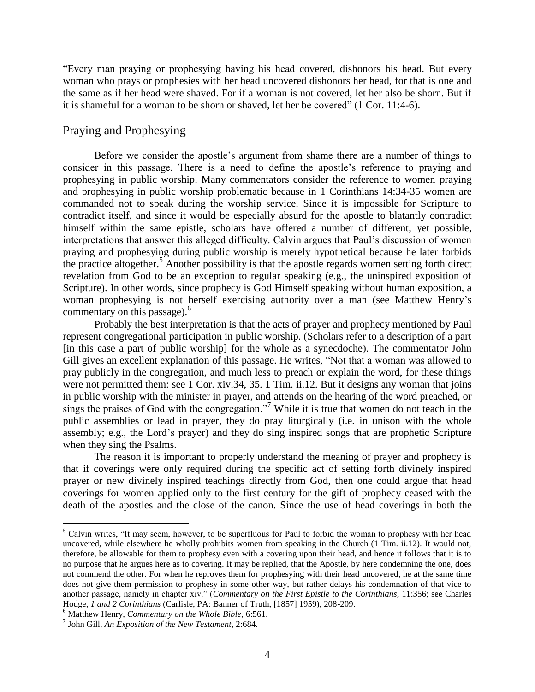"Every man praying or prophesying having his head covered, dishonors his head. But every woman who prays or prophesies with her head uncovered dishonors her head, for that is one and the same as if her head were shaved. For if a woman is not covered, let her also be shorn. But if it is shameful for a woman to be shorn or shaved, let her be covered" (1 Cor. 11:4-6).

# Praying and Prophesying

Before we consider the apostle's argument from shame there are a number of things to consider in this passage. There is a need to define the apostle's reference to praying and prophesying in public worship. Many commentators consider the reference to women praying and prophesying in public worship problematic because in 1 Corinthians 14:34-35 women are commanded not to speak during the worship service. Since it is impossible for Scripture to contradict itself, and since it would be especially absurd for the apostle to blatantly contradict himself within the same epistle, scholars have offered a number of different, yet possible, interpretations that answer this alleged difficulty. Calvin argues that Paul's discussion of women praying and prophesying during public worship is merely hypothetical because he later forbids the practice altogether.<sup>5</sup> Another possibility is that the apostle regards women setting forth direct revelation from God to be an exception to regular speaking (e.g., the uninspired exposition of Scripture). In other words, since prophecy is God Himself speaking without human exposition, a woman prophesying is not herself exercising authority over a man (see Matthew Henry's commentary on this passage).<sup>6</sup>

Probably the best interpretation is that the acts of prayer and prophecy mentioned by Paul represent congregational participation in public worship. (Scholars refer to a description of a part [in this case a part of public worship] for the whole as a synecdoche). The commentator John Gill gives an excellent explanation of this passage. He writes, "Not that a woman was allowed to pray publicly in the congregation, and much less to preach or explain the word, for these things were not permitted them: see 1 Cor. xiv.34, 35. 1 Tim. ii.12. But it designs any woman that joins in public worship with the minister in prayer, and attends on the hearing of the word preached, or sings the praises of God with the congregation."<sup>7</sup> While it is true that women do not teach in the public assemblies or lead in prayer, they do pray liturgically (i.e. in unison with the whole assembly; e.g., the Lord's prayer) and they do sing inspired songs that are prophetic Scripture when they sing the Psalms.

The reason it is important to properly understand the meaning of prayer and prophecy is that if coverings were only required during the specific act of setting forth divinely inspired prayer or new divinely inspired teachings directly from God, then one could argue that head coverings for women applied only to the first century for the gift of prophecy ceased with the death of the apostles and the close of the canon. Since the use of head coverings in both the

<sup>&</sup>lt;sup>5</sup> Calvin writes, "It may seem, however, to be superfluous for Paul to forbid the woman to prophesy with her head uncovered, while elsewhere he wholly prohibits women from speaking in the Church (1 Tim. ii.12). It would not, therefore, be allowable for them to prophesy even with a covering upon their head, and hence it follows that it is to no purpose that he argues here as to covering. It may be replied, that the Apostle, by here condemning the one, does not commend the other. For when he reproves them for prophesying with their head uncovered, he at the same time does not give them permission to prophesy in some other way, but rather delays his condemnation of that vice to another passage, namely in chapter xiv." (*Commentary on the First Epistle to the Corinthians*, 11:356; see Charles Hodge, *1 and 2 Corinthians* (Carlisle, PA: Banner of Truth, [1857] 1959), 208-209.

<sup>6</sup> Matthew Henry, *Commentary on the Whole Bible*, 6:561.

<sup>7</sup> John Gill, *An Exposition of the New Testament*, 2:684.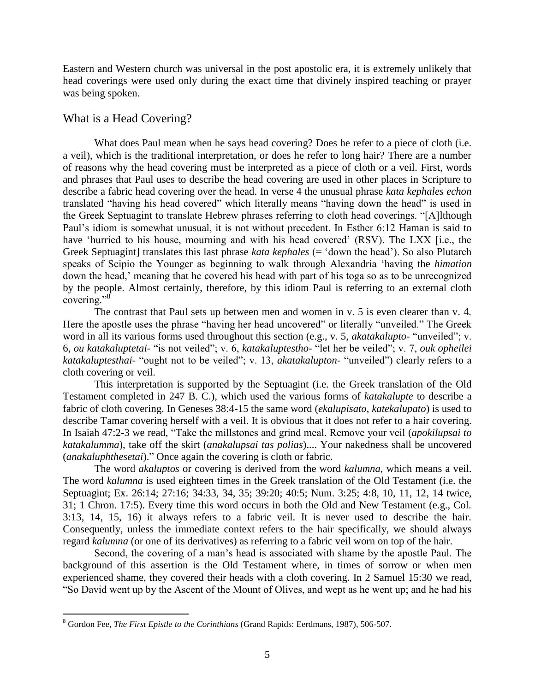Eastern and Western church was universal in the post apostolic era, it is extremely unlikely that head coverings were used only during the exact time that divinely inspired teaching or prayer was being spoken.

# What is a Head Covering?

 $\overline{a}$ 

What does Paul mean when he says head covering? Does he refer to a piece of cloth (i.e. a veil), which is the traditional interpretation, or does he refer to long hair? There are a number of reasons why the head covering must be interpreted as a piece of cloth or a veil. First, words and phrases that Paul uses to describe the head covering are used in other places in Scripture to describe a fabric head covering over the head. In verse 4 the unusual phrase *kata kephales echon* translated "having his head covered" which literally means "having down the head" is used in the Greek Septuagint to translate Hebrew phrases referring to cloth head coverings. "[A]lthough Paul's idiom is somewhat unusual, it is not without precedent. In Esther 6:12 Haman is said to have 'hurried to his house, mourning and with his head covered' (RSV). The LXX [i.e., the Greek Septuagint] translates this last phrase *kata kephales* (= 'down the head'). So also Plutarch speaks of Scipio the Younger as beginning to walk through Alexandria 'having the *himation* down the head,' meaning that he covered his head with part of his toga so as to be unrecognized by the people. Almost certainly, therefore, by this idiom Paul is referring to an external cloth covering."<sup>8</sup>

The contrast that Paul sets up between men and women in v. 5 is even clearer than v. 4. Here the apostle uses the phrase "having her head uncovered" or literally "unveiled." The Greek word in all its various forms used throughout this section (e.g., v. 5, *akatakalupto*- "unveiled"; v. 6, *ou katakaluptetai*- "is not veiled"; v. 6, *katakaluptestho*- "let her be veiled"; v. 7, *ouk opheilei katakaluptesthai*- "ought not to be veiled"; v. 13, *akatakalupton*- "unveiled") clearly refers to a cloth covering or veil.

This interpretation is supported by the Septuagint (i.e. the Greek translation of the Old Testament completed in 247 B. C.), which used the various forms of *katakalupte* to describe a fabric of cloth covering. In Geneses 38:4-15 the same word (*ekalupisato*, *katekalupato*) is used to describe Tamar covering herself with a veil. It is obvious that it does not refer to a hair covering. In Isaiah 47:2-3 we read, "Take the millstones and grind meal. Remove your veil (*apokilupsai to katakalumma*), take off the skirt (*anakalupsai tas polias*).... Your nakedness shall be uncovered (*anakaluphthesetai*)." Once again the covering is cloth or fabric.

The word *akaluptos* or covering is derived from the word *kalumna*, which means a veil. The word *kalumna* is used eighteen times in the Greek translation of the Old Testament (i.e. the Septuagint; Ex. 26:14; 27:16; 34:33, 34, 35; 39:20; 40:5; Num. 3:25; 4:8, 10, 11, 12, 14 twice, 31; 1 Chron. 17:5). Every time this word occurs in both the Old and New Testament (e.g., Col. 3:13, 14, 15, 16) it always refers to a fabric veil. It is never used to describe the hair. Consequently, unless the immediate context refers to the hair specifically, we should always regard *kalumna* (or one of its derivatives) as referring to a fabric veil worn on top of the hair.

Second, the covering of a man's head is associated with shame by the apostle Paul. The background of this assertion is the Old Testament where, in times of sorrow or when men experienced shame, they covered their heads with a cloth covering. In 2 Samuel 15:30 we read, "So David went up by the Ascent of the Mount of Olives, and wept as he went up; and he had his

<sup>8</sup> Gordon Fee, *The First Epistle to the Corinthians* (Grand Rapids: Eerdmans, 1987), 506-507.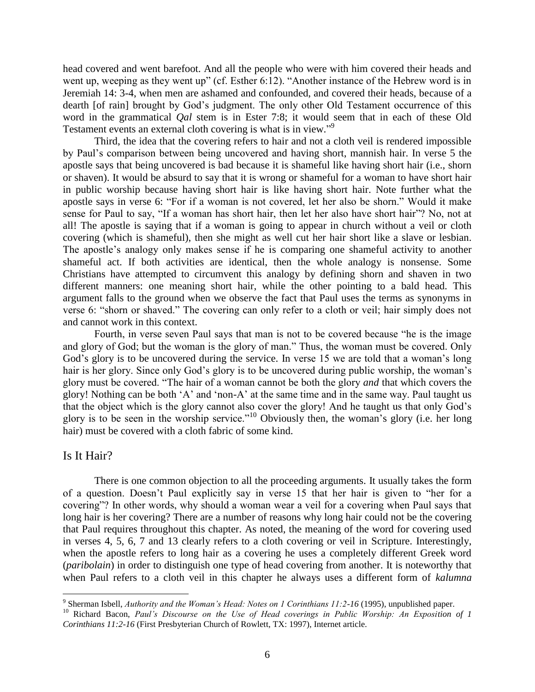head covered and went barefoot. And all the people who were with him covered their heads and went up, weeping as they went up" (cf. Esther 6:12). "Another instance of the Hebrew word is in Jeremiah 14: 3-4, when men are ashamed and confounded, and covered their heads, because of a dearth [of rain] brought by God's judgment. The only other Old Testament occurrence of this word in the grammatical *Qal* stem is in Ester 7:8; it would seem that in each of these Old Testament events an external cloth covering is what is in view."<sup>9</sup>

Third, the idea that the covering refers to hair and not a cloth veil is rendered impossible by Paul's comparison between being uncovered and having short, mannish hair. In verse 5 the apostle says that being uncovered is bad because it is shameful like having short hair (i.e., shorn or shaven). It would be absurd to say that it is wrong or shameful for a woman to have short hair in public worship because having short hair is like having short hair. Note further what the apostle says in verse 6: "For if a woman is not covered, let her also be shorn." Would it make sense for Paul to say, "If a woman has short hair, then let her also have short hair"? No, not at all! The apostle is saying that if a woman is going to appear in church without a veil or cloth covering (which is shameful), then she might as well cut her hair short like a slave or lesbian. The apostle's analogy only makes sense if he is comparing one shameful activity to another shameful act. If both activities are identical, then the whole analogy is nonsense. Some Christians have attempted to circumvent this analogy by defining shorn and shaven in two different manners: one meaning short hair, while the other pointing to a bald head. This argument falls to the ground when we observe the fact that Paul uses the terms as synonyms in verse 6: "shorn or shaved." The covering can only refer to a cloth or veil; hair simply does not and cannot work in this context.

Fourth, in verse seven Paul says that man is not to be covered because "he is the image and glory of God; but the woman is the glory of man." Thus, the woman must be covered. Only God's glory is to be uncovered during the service. In verse 15 we are told that a woman's long hair is her glory. Since only God's glory is to be uncovered during public worship, the woman's glory must be covered. "The hair of a woman cannot be both the glory *and* that which covers the glory! Nothing can be both 'A' and 'non-A' at the same time and in the same way. Paul taught us that the object which is the glory cannot also cover the glory! And he taught us that only God's glory is to be seen in the worship service."<sup>10</sup> Obviously then, the woman's glory (i.e. her long hair) must be covered with a cloth fabric of some kind.

# Is It Hair?

There is one common objection to all the proceeding arguments. It usually takes the form of a question. Doesn't Paul explicitly say in verse 15 that her hair is given to "her for a covering"? In other words, why should a woman wear a veil for a covering when Paul says that long hair is her covering? There are a number of reasons why long hair could not be the covering that Paul requires throughout this chapter. As noted, the meaning of the word for covering used in verses 4, 5, 6, 7 and 13 clearly refers to a cloth covering or veil in Scripture. Interestingly, when the apostle refers to long hair as a covering he uses a completely different Greek word (*paribolain*) in order to distinguish one type of head covering from another. It is noteworthy that when Paul refers to a cloth veil in this chapter he always uses a different form of *kalumna*

 $\overline{a}$ <sup>9</sup> Sherman Isbell, *Authority and the Woman's Head: Notes on 1 Corinthians 11:2-16* (1995), unpublished paper.

<sup>10</sup> Richard Bacon, *Paul's Discourse on the Use of Head coverings in Public Worship: An Exposition of 1 Corinthians 11:2-16* (First Presbyterian Church of Rowlett, TX: 1997), Internet article.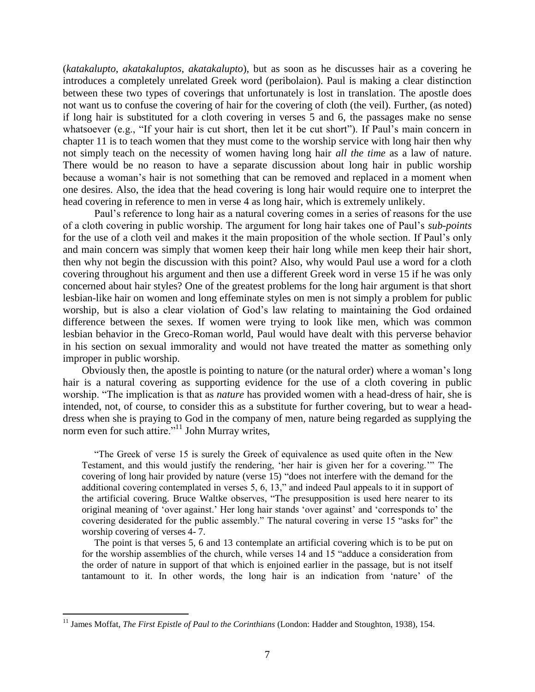(*katakalupto*, *akatakaluptos*, *akatakalupto*), but as soon as he discusses hair as a covering he introduces a completely unrelated Greek word (peribolaion). Paul is making a clear distinction between these two types of coverings that unfortunately is lost in translation. The apostle does not want us to confuse the covering of hair for the covering of cloth (the veil). Further, (as noted) if long hair is substituted for a cloth covering in verses 5 and 6, the passages make no sense whatsoever (e.g., "If your hair is cut short, then let it be cut short"). If Paul's main concern in chapter 11 is to teach women that they must come to the worship service with long hair then why not simply teach on the necessity of women having long hair *all the time* as a law of nature. There would be no reason to have a separate discussion about long hair in public worship because a woman's hair is not something that can be removed and replaced in a moment when one desires. Also, the idea that the head covering is long hair would require one to interpret the head covering in reference to men in verse 4 as long hair, which is extremely unlikely.

Paul's reference to long hair as a natural covering comes in a series of reasons for the use of a cloth covering in public worship. The argument for long hair takes one of Paul's *sub-points* for the use of a cloth veil and makes it the main proposition of the whole section. If Paul's only and main concern was simply that women keep their hair long while men keep their hair short, then why not begin the discussion with this point? Also, why would Paul use a word for a cloth covering throughout his argument and then use a different Greek word in verse 15 if he was only concerned about hair styles? One of the greatest problems for the long hair argument is that short lesbian-like hair on women and long effeminate styles on men is not simply a problem for public worship, but is also a clear violation of God's law relating to maintaining the God ordained difference between the sexes. If women were trying to look like men, which was common lesbian behavior in the Greco-Roman world, Paul would have dealt with this perverse behavior in his section on sexual immorality and would not have treated the matter as something only improper in public worship.

Obviously then, the apostle is pointing to nature (or the natural order) where a woman's long hair is a natural covering as supporting evidence for the use of a cloth covering in public worship. "The implication is that as *nature* has provided women with a head-dress of hair, she is intended, not, of course, to consider this as a substitute for further covering, but to wear a headdress when she is praying to God in the company of men, nature being regarded as supplying the norm even for such attire." $\frac{1}{11}$  John Murray writes,

"The Greek of verse 15 is surely the Greek of equivalence as used quite often in the New Testament, and this would justify the rendering, 'her hair is given her for a covering.'" The covering of long hair provided by nature (verse 15) "does not interfere with the demand for the additional covering contemplated in verses 5, 6, 13," and indeed Paul appeals to it in support of the artificial covering. Bruce Waltke observes, "The presupposition is used here nearer to its original meaning of 'over against.' Her long hair stands 'over against' and 'corresponds to' the covering desiderated for the public assembly." The natural covering in verse 15 "asks for" the worship covering of verses 4- 7.

The point is that verses 5, 6 and 13 contemplate an artificial covering which is to be put on for the worship assemblies of the church, while verses 14 and 15 "adduce a consideration from the order of nature in support of that which is enjoined earlier in the passage, but is not itself tantamount to it. In other words, the long hair is an indication from 'nature' of the

<sup>11</sup> James Moffat, *The First Epistle of Paul to the Corinthians* (London: Hadder and Stoughton, 1938), 154.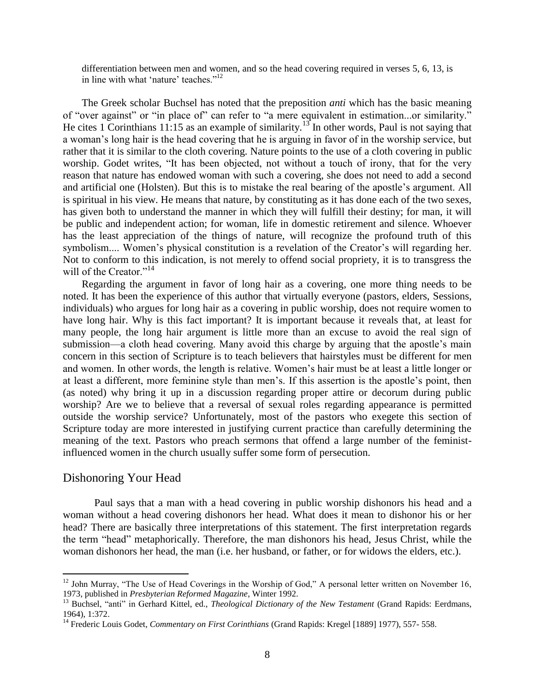differentiation between men and women, and so the head covering required in verses 5, 6, 13, is in line with what 'nature' teaches."<sup>12</sup>

The Greek scholar Buchsel has noted that the preposition *anti* which has the basic meaning of "over against" or "in place of" can refer to "a mere equivalent in estimation...or similarity." He cites 1 Corinthians 11:15 as an example of similarity.<sup>13</sup> In other words, Paul is not saying that a woman's long hair is the head covering that he is arguing in favor of in the worship service, but rather that it is similar to the cloth covering. Nature points to the use of a cloth covering in public worship. Godet writes, "It has been objected, not without a touch of irony, that for the very reason that nature has endowed woman with such a covering, she does not need to add a second and artificial one (Holsten). But this is to mistake the real bearing of the apostle's argument. All is spiritual in his view. He means that nature, by constituting as it has done each of the two sexes, has given both to understand the manner in which they will fulfill their destiny; for man, it will be public and independent action; for woman, life in domestic retirement and silence. Whoever has the least appreciation of the things of nature, will recognize the profound truth of this symbolism.... Women's physical constitution is a revelation of the Creator's will regarding her. Not to conform to this indication, is not merely to offend social propriety, it is to transgress the will of the Creator."<sup>14</sup>

Regarding the argument in favor of long hair as a covering, one more thing needs to be noted. It has been the experience of this author that virtually everyone (pastors, elders, Sessions, individuals) who argues for long hair as a covering in public worship, does not require women to have long hair. Why is this fact important? It is important because it reveals that, at least for many people, the long hair argument is little more than an excuse to avoid the real sign of submission—a cloth head covering. Many avoid this charge by arguing that the apostle's main concern in this section of Scripture is to teach believers that hairstyles must be different for men and women. In other words, the length is relative. Women's hair must be at least a little longer or at least a different, more feminine style than men's. If this assertion is the apostle's point, then (as noted) why bring it up in a discussion regarding proper attire or decorum during public worship? Are we to believe that a reversal of sexual roles regarding appearance is permitted outside the worship service? Unfortunately, most of the pastors who exegete this section of Scripture today are more interested in justifying current practice than carefully determining the meaning of the text. Pastors who preach sermons that offend a large number of the feministinfluenced women in the church usually suffer some form of persecution.

#### Dishonoring Your Head

 $\overline{a}$ 

Paul says that a man with a head covering in public worship dishonors his head and a woman without a head covering dishonors her head. What does it mean to dishonor his or her head? There are basically three interpretations of this statement. The first interpretation regards the term "head" metaphorically. Therefore, the man dishonors his head, Jesus Christ, while the woman dishonors her head, the man (i.e. her husband, or father, or for widows the elders, etc.).

 $12$  John Murray, "The Use of Head Coverings in the Worship of God," A personal letter written on November 16, 1973, published in *Presbyterian Reformed Magazine*, Winter 1992.

<sup>&</sup>lt;sup>13</sup> Buchsel, "anti" in Gerhard Kittel, ed., *Theological Dictionary of the New Testament* (Grand Rapids: Eerdmans, 1964), 1:372.

<sup>&</sup>lt;sup>14</sup> Frederic Louis Godet, *Commentary on First Corinthians* (Grand Rapids: Kregel [1889] 1977), 557- 558.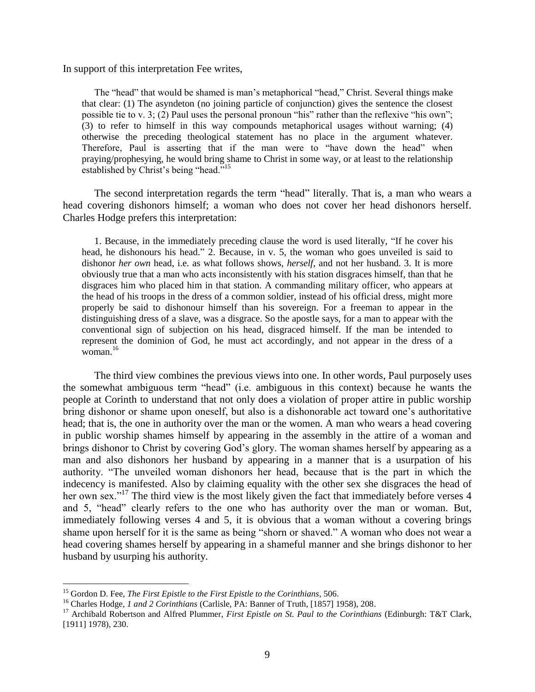In support of this interpretation Fee writes,

The "head" that would be shamed is man's metaphorical "head," Christ. Several things make that clear: (1) The asyndeton (no joining particle of conjunction) gives the sentence the closest possible tie to v. 3; (2) Paul uses the personal pronoun "his" rather than the reflexive "his own"; (3) to refer to himself in this way compounds metaphorical usages without warning; (4) otherwise the preceding theological statement has no place in the argument whatever. Therefore, Paul is asserting that if the man were to "have down the head" when praying/prophesying, he would bring shame to Christ in some way, or at least to the relationship established by Christ's being "head."<sup>15</sup>

The second interpretation regards the term "head" literally. That is, a man who wears a head covering dishonors himself; a woman who does not cover her head dishonors herself. Charles Hodge prefers this interpretation:

1. Because, in the immediately preceding clause the word is used literally, "If he cover his head, he dishonours his head." 2. Because, in v. 5, the woman who goes unveiled is said to dishonor *her own* head, i.e. as what follows shows, *herself*, and not her husband. 3. It is more obviously true that a man who acts inconsistently with his station disgraces himself, than that he disgraces him who placed him in that station. A commanding military officer, who appears at the head of his troops in the dress of a common soldier, instead of his official dress, might more properly be said to dishonour himself than his sovereign. For a freeman to appear in the distinguishing dress of a slave, was a disgrace. So the apostle says, for a man to appear with the conventional sign of subjection on his head, disgraced himself. If the man be intended to represent the dominion of God, he must act accordingly, and not appear in the dress of a woman. $16$ 

The third view combines the previous views into one. In other words, Paul purposely uses the somewhat ambiguous term "head" (i.e. ambiguous in this context) because he wants the people at Corinth to understand that not only does a violation of proper attire in public worship bring dishonor or shame upon oneself, but also is a dishonorable act toward one's authoritative head; that is, the one in authority over the man or the women. A man who wears a head covering in public worship shames himself by appearing in the assembly in the attire of a woman and brings dishonor to Christ by covering God's glory. The woman shames herself by appearing as a man and also dishonors her husband by appearing in a manner that is a usurpation of his authority. "The unveiled woman dishonors her head, because that is the part in which the indecency is manifested. Also by claiming equality with the other sex she disgraces the head of her own sex."<sup>17</sup> The third view is the most likely given the fact that immediately before verses 4 and 5, "head" clearly refers to the one who has authority over the man or woman. But, immediately following verses 4 and 5, it is obvious that a woman without a covering brings shame upon herself for it is the same as being "shorn or shaved." A woman who does not wear a head covering shames herself by appearing in a shameful manner and she brings dishonor to her husband by usurping his authority.

<sup>15</sup> Gordon D. Fee, *The First Epistle to the First Epistle to the Corinthians*, 506.

<sup>&</sup>lt;sup>16</sup> Charles Hodge, *1 and 2 Corinthians* (Carlisle, PA: Banner of Truth, [1857] 1958), 208.

<sup>&</sup>lt;sup>17</sup> Archibald Robertson and Alfred Plummer, *First Epistle on St. Paul to the Corinthians* (Edinburgh: T&T Clark, [1911] 1978), 230.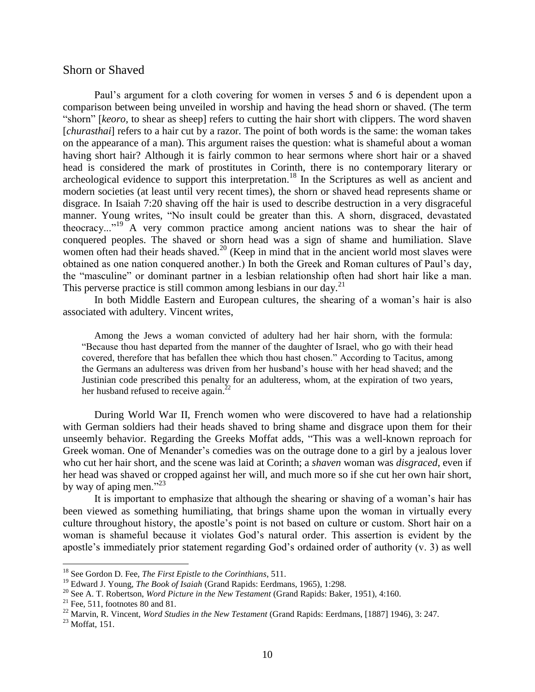### Shorn or Shaved

Paul's argument for a cloth covering for women in verses 5 and 6 is dependent upon a comparison between being unveiled in worship and having the head shorn or shaved. (The term "shorn" [*keoro,* to shear as sheep] refers to cutting the hair short with clippers. The word shaven [*churasthai*] refers to a hair cut by a razor. The point of both words is the same: the woman takes on the appearance of a man). This argument raises the question: what is shameful about a woman having short hair? Although it is fairly common to hear sermons where short hair or a shaved head is considered the mark of prostitutes in Corinth, there is no contemporary literary or archeological evidence to support this interpretation.<sup>18</sup> In the Scriptures as well as ancient and modern societies (at least until very recent times), the shorn or shaved head represents shame or disgrace. In Isaiah 7:20 shaving off the hair is used to describe destruction in a very disgraceful manner. Young writes, "No insult could be greater than this. A shorn, disgraced, devastated theocracy..."<sup>19</sup> A very common practice among ancient nations was to shear the hair of conquered peoples. The shaved or shorn head was a sign of shame and humiliation. Slave women often had their heads shaved.<sup>20</sup> (Keep in mind that in the ancient world most slaves were obtained as one nation conquered another.) In both the Greek and Roman cultures of Paul's day, the "masculine" or dominant partner in a lesbian relationship often had short hair like a man. This perverse practice is still common among lesbians in our day.<sup>21</sup>

In both Middle Eastern and European cultures, the shearing of a woman's hair is also associated with adultery. Vincent writes,

Among the Jews a woman convicted of adultery had her hair shorn, with the formula: "Because thou hast departed from the manner of the daughter of Israel, who go with their head covered, therefore that has befallen thee which thou hast chosen." According to Tacitus, among the Germans an adulteress was driven from her husband's house with her head shaved; and the Justinian code prescribed this penalty for an adulteress, whom, at the expiration of two years, her husband refused to receive again.<sup>22</sup>

During World War II, French women who were discovered to have had a relationship with German soldiers had their heads shaved to bring shame and disgrace upon them for their unseemly behavior. Regarding the Greeks Moffat adds, "This was a well-known reproach for Greek woman. One of Menander's comedies was on the outrage done to a girl by a jealous lover who cut her hair short, and the scene was laid at Corinth; a *shaven* woman was *disgraced*, even if her head was shaved or cropped against her will, and much more so if she cut her own hair short, by way of aping men." $^{23}$ 

It is important to emphasize that although the shearing or shaving of a woman's hair has been viewed as something humiliating, that brings shame upon the woman in virtually every culture throughout history, the apostle's point is not based on culture or custom. Short hair on a woman is shameful because it violates God's natural order. This assertion is evident by the apostle's immediately prior statement regarding God's ordained order of authority (v. 3) as well

<sup>18</sup> See Gordon D. Fee, *The First Epistle to the Corinthians*, 511.

<sup>19</sup> Edward J. Young, *The Book of Isaiah* (Grand Rapids: Eerdmans, 1965), 1:298.

<sup>20</sup> See A. T. Robertson, *Word Picture in the New Testament* (Grand Rapids: Baker, 1951), 4:160.

<sup>&</sup>lt;sup>21</sup> Fee, 511, footnotes 80 and 81.

<sup>&</sup>lt;sup>22</sup> Marvin, R. Vincent, *Word Studies in the New Testament* (Grand Rapids: Eerdmans, [1887] 1946), 3: 247.

<sup>23</sup> Moffat, 151.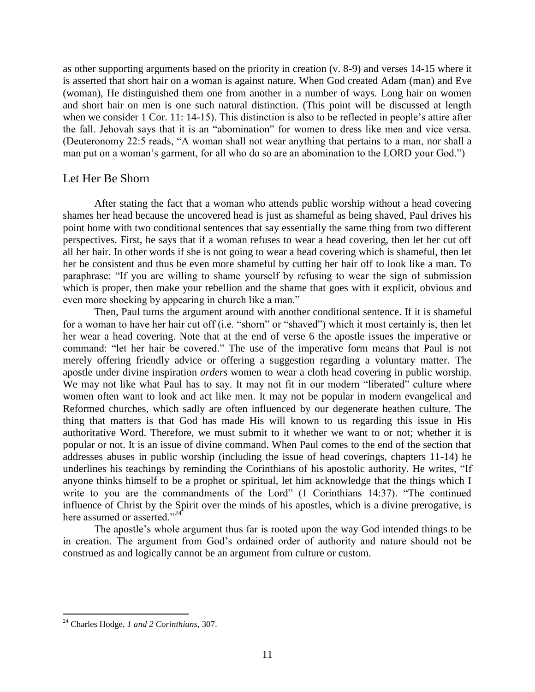as other supporting arguments based on the priority in creation (v. 8-9) and verses 14-15 where it is asserted that short hair on a woman is against nature. When God created Adam (man) and Eve (woman), He distinguished them one from another in a number of ways. Long hair on women and short hair on men is one such natural distinction. (This point will be discussed at length when we consider 1 Cor. 11: 14-15). This distinction is also to be reflected in people's attire after the fall. Jehovah says that it is an "abomination" for women to dress like men and vice versa. (Deuteronomy 22:5 reads, "A woman shall not wear anything that pertains to a man, nor shall a man put on a woman's garment, for all who do so are an abomination to the LORD your God.")

# Let Her Be Shorn

After stating the fact that a woman who attends public worship without a head covering shames her head because the uncovered head is just as shameful as being shaved, Paul drives his point home with two conditional sentences that say essentially the same thing from two different perspectives. First, he says that if a woman refuses to wear a head covering, then let her cut off all her hair. In other words if she is not going to wear a head covering which is shameful, then let her be consistent and thus be even more shameful by cutting her hair off to look like a man. To paraphrase: "If you are willing to shame yourself by refusing to wear the sign of submission which is proper, then make your rebellion and the shame that goes with it explicit, obvious and even more shocking by appearing in church like a man."

Then, Paul turns the argument around with another conditional sentence. If it is shameful for a woman to have her hair cut off (i.e. "shorn" or "shaved") which it most certainly is, then let her wear a head covering. Note that at the end of verse 6 the apostle issues the imperative or command: "let her hair be covered." The use of the imperative form means that Paul is not merely offering friendly advice or offering a suggestion regarding a voluntary matter. The apostle under divine inspiration *orders* women to wear a cloth head covering in public worship. We may not like what Paul has to say. It may not fit in our modern "liberated" culture where women often want to look and act like men. It may not be popular in modern evangelical and Reformed churches, which sadly are often influenced by our degenerate heathen culture. The thing that matters is that God has made His will known to us regarding this issue in His authoritative Word. Therefore, we must submit to it whether we want to or not; whether it is popular or not. It is an issue of divine command. When Paul comes to the end of the section that addresses abuses in public worship (including the issue of head coverings, chapters 11-14) he underlines his teachings by reminding the Corinthians of his apostolic authority. He writes, "If anyone thinks himself to be a prophet or spiritual, let him acknowledge that the things which I write to you are the commandments of the Lord" (1 Corinthians 14:37). "The continued influence of Christ by the Spirit over the minds of his apostles, which is a divine prerogative, is here assumed or asserted."<sup>24</sup>

The apostle's whole argument thus far is rooted upon the way God intended things to be in creation. The argument from God's ordained order of authority and nature should not be construed as and logically cannot be an argument from culture or custom.

<sup>24</sup> Charles Hodge, *1 and 2 Corinthians*, 307.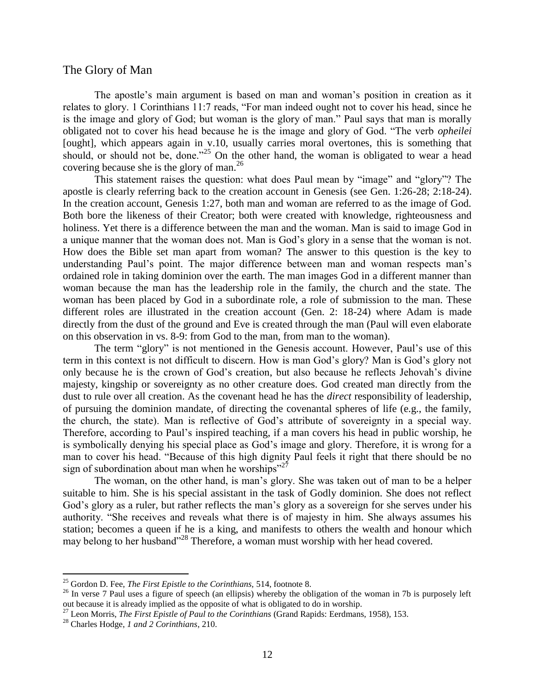## The Glory of Man

The apostle's main argument is based on man and woman's position in creation as it relates to glory. 1 Corinthians 11:7 reads, "For man indeed ought not to cover his head, since he is the image and glory of God; but woman is the glory of man." Paul says that man is morally obligated not to cover his head because he is the image and glory of God. "The verb *opheilei* [ought], which appears again in v.10, usually carries moral overtones, this is something that should, or should not be, done."<sup>25</sup> On the other hand, the woman is obligated to wear a head covering because she is the glory of man.<sup>26</sup>

This statement raises the question: what does Paul mean by "image" and "glory"? The apostle is clearly referring back to the creation account in Genesis (see Gen. 1:26-28; 2:18-24). In the creation account, Genesis 1:27, both man and woman are referred to as the image of God. Both bore the likeness of their Creator; both were created with knowledge, righteousness and holiness. Yet there is a difference between the man and the woman. Man is said to image God in a unique manner that the woman does not. Man is God's glory in a sense that the woman is not. How does the Bible set man apart from woman? The answer to this question is the key to understanding Paul's point. The major difference between man and woman respects man's ordained role in taking dominion over the earth. The man images God in a different manner than woman because the man has the leadership role in the family, the church and the state. The woman has been placed by God in a subordinate role, a role of submission to the man. These different roles are illustrated in the creation account (Gen. 2: 18-24) where Adam is made directly from the dust of the ground and Eve is created through the man (Paul will even elaborate on this observation in vs. 8-9: from God to the man, from man to the woman).

The term "glory" is not mentioned in the Genesis account. However, Paul's use of this term in this context is not difficult to discern. How is man God's glory? Man is God's glory not only because he is the crown of God's creation, but also because he reflects Jehovah's divine majesty, kingship or sovereignty as no other creature does. God created man directly from the dust to rule over all creation. As the covenant head he has the *direct* responsibility of leadership, of pursuing the dominion mandate, of directing the covenantal spheres of life (e.g., the family, the church, the state). Man is reflective of God's attribute of sovereignty in a special way. Therefore, according to Paul's inspired teaching, if a man covers his head in public worship, he is symbolically denying his special place as God's image and glory. Therefore, it is wrong for a man to cover his head. "Because of this high dignity Paul feels it right that there should be no sign of subordination about man when he worships"<sup>27</sup>

The woman, on the other hand, is man's glory. She was taken out of man to be a helper suitable to him. She is his special assistant in the task of Godly dominion. She does not reflect God's glory as a ruler, but rather reflects the man's glory as a sovereign for she serves under his authority. "She receives and reveals what there is of majesty in him. She always assumes his station; becomes a queen if he is a king, and manifests to others the wealth and honour which may belong to her husband"<sup>28</sup> Therefore, a woman must worship with her head covered.

<sup>25</sup> Gordon D. Fee, *The First Epistle to the Corinthians,* 514, footnote 8.

<sup>&</sup>lt;sup>26</sup> In verse 7 Paul uses a figure of speech (an ellipsis) whereby the obligation of the woman in 7b is purposely left out because it is already implied as the opposite of what is obligated to do in worship.

<sup>27</sup> Leon Morris, *The First Epistle of Paul to the Corinthians* (Grand Rapids: Eerdmans, 1958), 153.

<sup>28</sup> Charles Hodge, *1 and 2 Corinthians*, 210.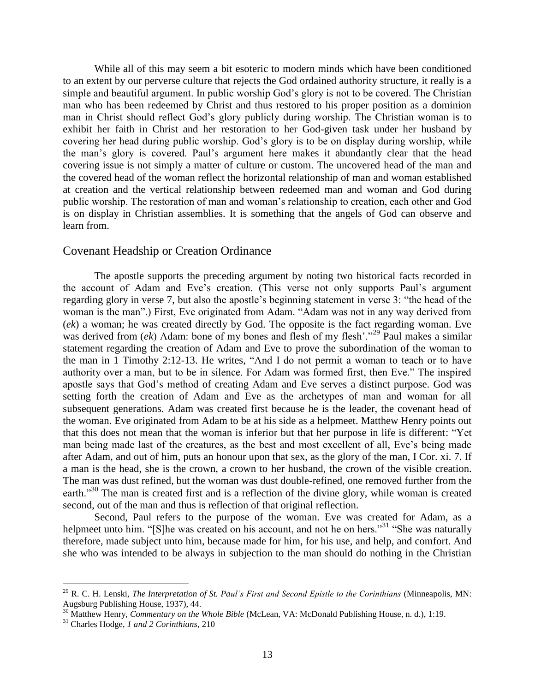While all of this may seem a bit esoteric to modern minds which have been conditioned to an extent by our perverse culture that rejects the God ordained authority structure, it really is a simple and beautiful argument. In public worship God's glory is not to be covered. The Christian man who has been redeemed by Christ and thus restored to his proper position as a dominion man in Christ should reflect God's glory publicly during worship. The Christian woman is to exhibit her faith in Christ and her restoration to her God-given task under her husband by covering her head during public worship. God's glory is to be on display during worship, while the man's glory is covered. Paul's argument here makes it abundantly clear that the head covering issue is not simply a matter of culture or custom. The uncovered head of the man and the covered head of the woman reflect the horizontal relationship of man and woman established at creation and the vertical relationship between redeemed man and woman and God during public worship. The restoration of man and woman's relationship to creation, each other and God is on display in Christian assemblies. It is something that the angels of God can observe and learn from.

# Covenant Headship or Creation Ordinance

The apostle supports the preceding argument by noting two historical facts recorded in the account of Adam and Eve's creation. (This verse not only supports Paul's argument regarding glory in verse 7, but also the apostle's beginning statement in verse 3: "the head of the woman is the man".) First, Eve originated from Adam. "Adam was not in any way derived from (*ek*) a woman; he was created directly by God. The opposite is the fact regarding woman. Eve was derived from *(ek)* Adam: bone of my bones and flesh of my flesh'."<sup>29</sup> Paul makes a similar statement regarding the creation of Adam and Eve to prove the subordination of the woman to the man in 1 Timothy 2:12-13. He writes, "And I do not permit a woman to teach or to have authority over a man, but to be in silence. For Adam was formed first, then Eve." The inspired apostle says that God's method of creating Adam and Eve serves a distinct purpose. God was setting forth the creation of Adam and Eve as the archetypes of man and woman for all subsequent generations. Adam was created first because he is the leader, the covenant head of the woman. Eve originated from Adam to be at his side as a helpmeet. Matthew Henry points out that this does not mean that the woman is inferior but that her purpose in life is different: "Yet man being made last of the creatures, as the best and most excellent of all, Eve's being made after Adam, and out of him, puts an honour upon that sex, as the glory of the man, I Cor. xi. 7. If a man is the head, she is the crown, a crown to her husband, the crown of the visible creation. The man was dust refined, but the woman was dust double-refined, one removed further from the earth."<sup>30</sup> The man is created first and is a reflection of the divine glory, while woman is created second, out of the man and thus is reflection of that original reflection.

Second, Paul refers to the purpose of the woman. Eve was created for Adam, as a helpmeet unto him. "[S]he was created on his account, and not he on hers."<sup>31</sup> "She was naturally therefore, made subject unto him, because made for him, for his use, and help, and comfort. And she who was intended to be always in subjection to the man should do nothing in the Christian

<sup>29</sup> R. C. H. Lenski, *The Interpretation of St. Paul's First and Second Epistle to the Corinthians* (Minneapolis, MN: Augsburg Publishing House, 1937), 44.

<sup>30</sup> Matthew Henry, *Commentary on the Whole Bible* (McLean, VA: McDonald Publishing House, n. d.), 1:19.

<sup>31</sup> Charles Hodge, *1 and 2 Corinthians*, 210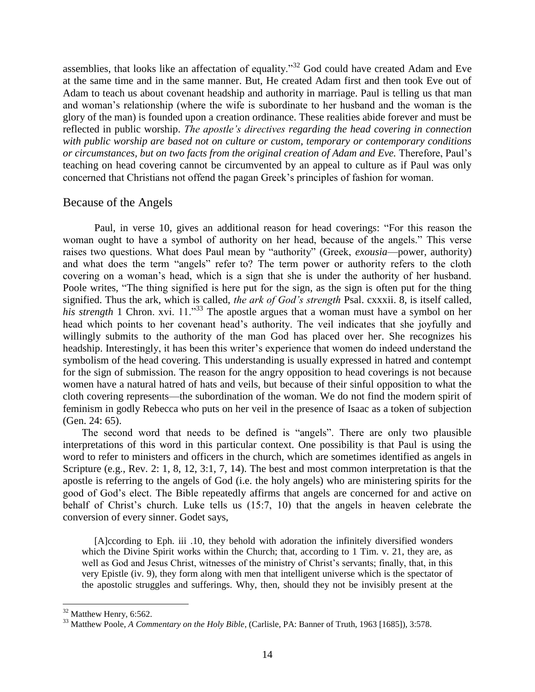assemblies, that looks like an affectation of equality."<sup>32</sup> God could have created Adam and Eve at the same time and in the same manner. But, He created Adam first and then took Eve out of Adam to teach us about covenant headship and authority in marriage. Paul is telling us that man and woman's relationship (where the wife is subordinate to her husband and the woman is the glory of the man) is founded upon a creation ordinance. These realities abide forever and must be reflected in public worship. *The apostle's directives regarding the head covering in connection with public worship are based not on culture or custom, temporary or contemporary conditions or circumstances, but on two facts from the original creation of Adam and Eve.* Therefore, Paul's teaching on head covering cannot be circumvented by an appeal to culture as if Paul was only concerned that Christians not offend the pagan Greek's principles of fashion for woman.

## Because of the Angels

Paul, in verse 10, gives an additional reason for head coverings: "For this reason the woman ought to have a symbol of authority on her head, because of the angels." This verse raises two questions. What does Paul mean by "authority" (Greek, *exousia*—power, authority) and what does the term "angels" refer to? The term power or authority refers to the cloth covering on a woman's head, which is a sign that she is under the authority of her husband. Poole writes, "The thing signified is here put for the sign, as the sign is often put for the thing signified. Thus the ark, which is called, *the ark of God's strength* Psal. cxxxii. 8, is itself called, *his strength* 1 Chron. xvi. 11."<sup>33</sup> The apostle argues that a woman must have a symbol on her head which points to her covenant head's authority. The veil indicates that she joyfully and willingly submits to the authority of the man God has placed over her. She recognizes his headship. Interestingly, it has been this writer's experience that women do indeed understand the symbolism of the head covering. This understanding is usually expressed in hatred and contempt for the sign of submission. The reason for the angry opposition to head coverings is not because women have a natural hatred of hats and veils, but because of their sinful opposition to what the cloth covering represents—the subordination of the woman. We do not find the modern spirit of feminism in godly Rebecca who puts on her veil in the presence of Isaac as a token of subjection (Gen. 24: 65).

The second word that needs to be defined is "angels". There are only two plausible interpretations of this word in this particular context. One possibility is that Paul is using the word to refer to ministers and officers in the church, which are sometimes identified as angels in Scripture (e.g., Rev. 2: 1, 8, 12, 3:1, 7, 14). The best and most common interpretation is that the apostle is referring to the angels of God (i.e. the holy angels) who are ministering spirits for the good of God's elect. The Bible repeatedly affirms that angels are concerned for and active on behalf of Christ's church. Luke tells us (15:7, 10) that the angels in heaven celebrate the conversion of every sinner. Godet says,

[A]ccording to Eph. iii .10, they behold with adoration the infinitely diversified wonders which the Divine Spirit works within the Church; that, according to 1 Tim. v. 21, they are, as well as God and Jesus Christ, witnesses of the ministry of Christ's servants; finally, that, in this very Epistle (iv. 9), they form along with men that intelligent universe which is the spectator of the apostolic struggles and sufferings. Why, then, should they not be invisibly present at the

 $32$  Matthew Henry, 6:562.

<sup>33</sup> Matthew Poole, *A Commentary on the Holy Bible*, (Carlisle, PA: Banner of Truth, 1963 [1685]), 3:578.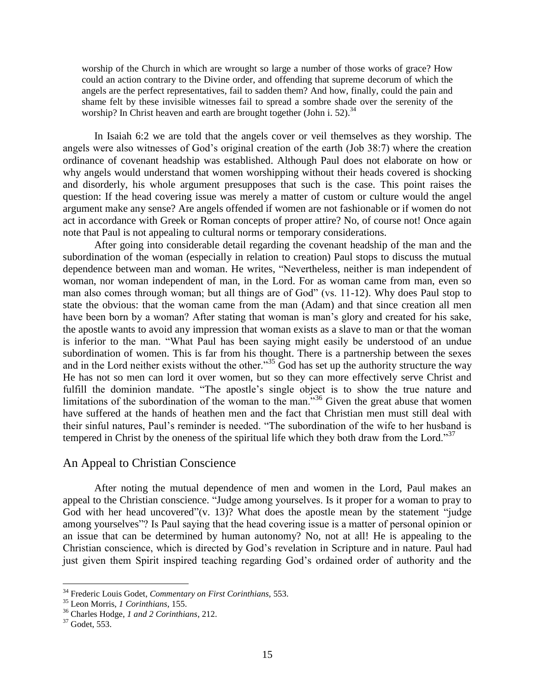worship of the Church in which are wrought so large a number of those works of grace? How could an action contrary to the Divine order, and offending that supreme decorum of which the angels are the perfect representatives, fail to sadden them? And how, finally, could the pain and shame felt by these invisible witnesses fail to spread a sombre shade over the serenity of the worship? In Christ heaven and earth are brought together (John i. 52).<sup>34</sup>

In Isaiah 6:2 we are told that the angels cover or veil themselves as they worship. The angels were also witnesses of God's original creation of the earth (Job 38:7) where the creation ordinance of covenant headship was established. Although Paul does not elaborate on how or why angels would understand that women worshipping without their heads covered is shocking and disorderly, his whole argument presupposes that such is the case. This point raises the question: If the head covering issue was merely a matter of custom or culture would the angel argument make any sense? Are angels offended if women are not fashionable or if women do not act in accordance with Greek or Roman concepts of proper attire? No, of course not! Once again note that Paul is not appealing to cultural norms or temporary considerations.

After going into considerable detail regarding the covenant headship of the man and the subordination of the woman (especially in relation to creation) Paul stops to discuss the mutual dependence between man and woman. He writes, "Nevertheless, neither is man independent of woman, nor woman independent of man, in the Lord. For as woman came from man, even so man also comes through woman; but all things are of God" (vs. 11-12). Why does Paul stop to state the obvious: that the woman came from the man (Adam) and that since creation all men have been born by a woman? After stating that woman is man's glory and created for his sake, the apostle wants to avoid any impression that woman exists as a slave to man or that the woman is inferior to the man. "What Paul has been saying might easily be understood of an undue subordination of women. This is far from his thought. There is a partnership between the sexes and in the Lord neither exists without the other.<sup>35</sup> God has set up the authority structure the way He has not so men can lord it over women, but so they can more effectively serve Christ and fulfill the dominion mandate. "The apostle's single object is to show the true nature and limitations of the subordination of the woman to the man."<sup>36</sup> Given the great abuse that women have suffered at the hands of heathen men and the fact that Christian men must still deal with their sinful natures, Paul's reminder is needed. "The subordination of the wife to her husband is tempered in Christ by the oneness of the spiritual life which they both draw from the Lord."<sup>37</sup>

## An Appeal to Christian Conscience

After noting the mutual dependence of men and women in the Lord, Paul makes an appeal to the Christian conscience. "Judge among yourselves. Is it proper for a woman to pray to God with her head uncovered"(v. 13)? What does the apostle mean by the statement "judge" among yourselves"? Is Paul saying that the head covering issue is a matter of personal opinion or an issue that can be determined by human autonomy? No, not at all! He is appealing to the Christian conscience, which is directed by God's revelation in Scripture and in nature. Paul had just given them Spirit inspired teaching regarding God's ordained order of authority and the

<sup>34</sup> Frederic Louis Godet, *Commentary on First Corinthians,* 553.

<sup>35</sup> Leon Morris, *1 Corinthians*, 155.

<sup>36</sup> Charles Hodge, *1 and 2 Corinthians*, 212.

<sup>37</sup> Godet, 553.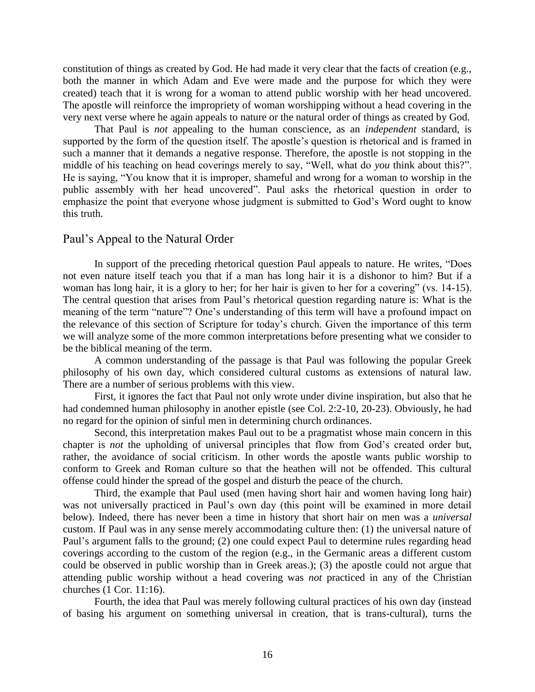constitution of things as created by God. He had made it very clear that the facts of creation (e.g., both the manner in which Adam and Eve were made and the purpose for which they were created) teach that it is wrong for a woman to attend public worship with her head uncovered. The apostle will reinforce the impropriety of woman worshipping without a head covering in the very next verse where he again appeals to nature or the natural order of things as created by God.

That Paul is *not* appealing to the human conscience, as an *independent* standard, is supported by the form of the question itself. The apostle's question is rhetorical and is framed in such a manner that it demands a negative response. Therefore, the apostle is not stopping in the middle of his teaching on head coverings merely to say, "Well, what do *you* think about this?". He is saying, "You know that it is improper, shameful and wrong for a woman to worship in the public assembly with her head uncovered". Paul asks the rhetorical question in order to emphasize the point that everyone whose judgment is submitted to God's Word ought to know this truth.

### Paul's Appeal to the Natural Order

In support of the preceding rhetorical question Paul appeals to nature. He writes, "Does not even nature itself teach you that if a man has long hair it is a dishonor to him? But if a woman has long hair, it is a glory to her; for her hair is given to her for a covering" (vs. 14-15). The central question that arises from Paul's rhetorical question regarding nature is: What is the meaning of the term "nature"? One's understanding of this term will have a profound impact on the relevance of this section of Scripture for today's church. Given the importance of this term we will analyze some of the more common interpretations before presenting what we consider to be the biblical meaning of the term.

A common understanding of the passage is that Paul was following the popular Greek philosophy of his own day, which considered cultural customs as extensions of natural law. There are a number of serious problems with this view.

First, it ignores the fact that Paul not only wrote under divine inspiration, but also that he had condemned human philosophy in another epistle (see Col. 2:2-10, 20-23). Obviously, he had no regard for the opinion of sinful men in determining church ordinances.

Second, this interpretation makes Paul out to be a pragmatist whose main concern in this chapter is *not* the upholding of universal principles that flow from God's created order but, rather, the avoidance of social criticism. In other words the apostle wants public worship to conform to Greek and Roman culture so that the heathen will not be offended. This cultural offense could hinder the spread of the gospel and disturb the peace of the church.

Third, the example that Paul used (men having short hair and women having long hair) was not universally practiced in Paul's own day (this point will be examined in more detail below). Indeed, there has never been a time in history that short hair on men was a *universal* custom. If Paul was in any sense merely accommodating culture then: (1) the universal nature of Paul's argument falls to the ground; (2) one could expect Paul to determine rules regarding head coverings according to the custom of the region (e.g., in the Germanic areas a different custom could be observed in public worship than in Greek areas.); (3) the apostle could not argue that attending public worship without a head covering was *not* practiced in any of the Christian churches (1 Cor. 11:16).

Fourth, the idea that Paul was merely following cultural practices of his own day (instead of basing his argument on something universal in creation, that is trans-cultural), turns the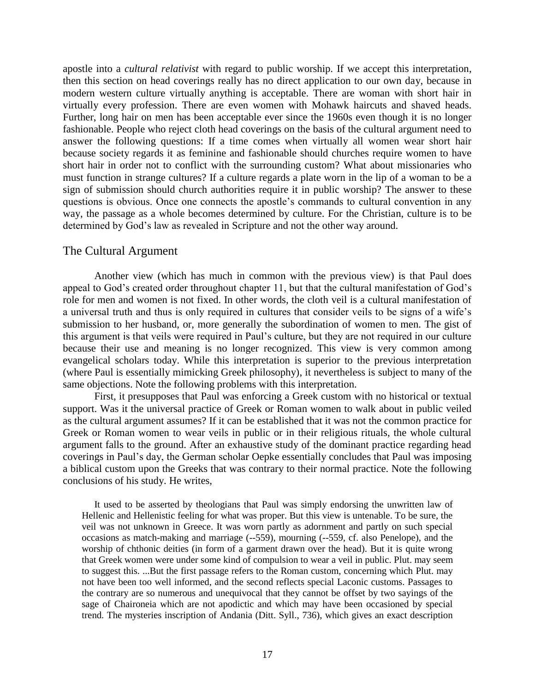apostle into a *cultural relativist* with regard to public worship. If we accept this interpretation, then this section on head coverings really has no direct application to our own day, because in modern western culture virtually anything is acceptable. There are woman with short hair in virtually every profession. There are even women with Mohawk haircuts and shaved heads. Further, long hair on men has been acceptable ever since the 1960s even though it is no longer fashionable. People who reject cloth head coverings on the basis of the cultural argument need to answer the following questions: If a time comes when virtually all women wear short hair because society regards it as feminine and fashionable should churches require women to have short hair in order not to conflict with the surrounding custom? What about missionaries who must function in strange cultures? If a culture regards a plate worn in the lip of a woman to be a sign of submission should church authorities require it in public worship? The answer to these questions is obvious. Once one connects the apostle's commands to cultural convention in any way, the passage as a whole becomes determined by culture. For the Christian, culture is to be determined by God's law as revealed in Scripture and not the other way around.

# The Cultural Argument

Another view (which has much in common with the previous view) is that Paul does appeal to God's created order throughout chapter 11, but that the cultural manifestation of God's role for men and women is not fixed. In other words, the cloth veil is a cultural manifestation of a universal truth and thus is only required in cultures that consider veils to be signs of a wife's submission to her husband, or, more generally the subordination of women to men. The gist of this argument is that veils were required in Paul's culture, but they are not required in our culture because their use and meaning is no longer recognized. This view is very common among evangelical scholars today. While this interpretation is superior to the previous interpretation (where Paul is essentially mimicking Greek philosophy), it nevertheless is subject to many of the same objections. Note the following problems with this interpretation.

First, it presupposes that Paul was enforcing a Greek custom with no historical or textual support. Was it the universal practice of Greek or Roman women to walk about in public veiled as the cultural argument assumes? If it can be established that it was not the common practice for Greek or Roman women to wear veils in public or in their religious rituals, the whole cultural argument falls to the ground. After an exhaustive study of the dominant practice regarding head coverings in Paul's day, the German scholar Oepke essentially concludes that Paul was imposing a biblical custom upon the Greeks that was contrary to their normal practice. Note the following conclusions of his study. He writes,

It used to be asserted by theologians that Paul was simply endorsing the unwritten law of Hellenic and Hellenistic feeling for what was proper. But this view is untenable. To be sure, the veil was not unknown in Greece. It was worn partly as adornment and partly on such special occasions as match-making and marriage (--559), mourning (--559, cf. also Penelope), and the worship of chthonic deities (in form of a garment drawn over the head). But it is quite wrong that Greek women were under some kind of compulsion to wear a veil in public. Plut. may seem to suggest this. ...But the first passage refers to the Roman custom, concerning which Plut. may not have been too well informed, and the second reflects special Laconic customs. Passages to the contrary are so numerous and unequivocal that they cannot be offset by two sayings of the sage of Chaironeia which are not apodictic and which may have been occasioned by special trend. The mysteries inscription of Andania (Ditt. Syll., 736), which gives an exact description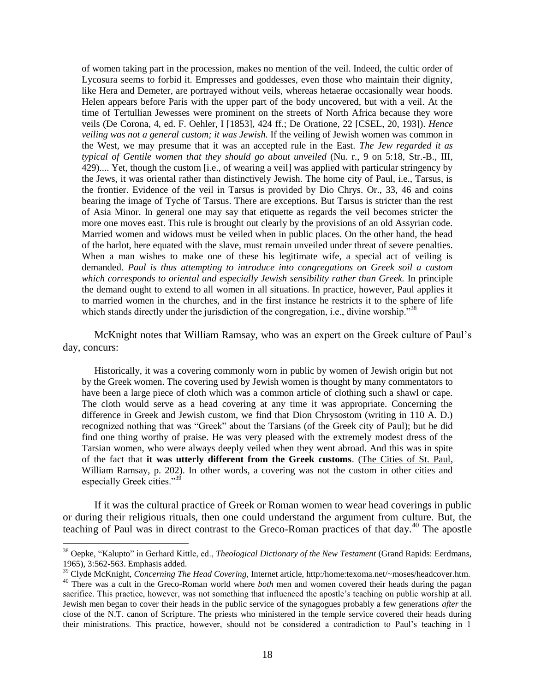of women taking part in the procession, makes no mention of the veil. Indeed, the cultic order of Lycosura seems to forbid it. Empresses and goddesses, even those who maintain their dignity, like Hera and Demeter, are portrayed without veils, whereas hetaerae occasionally wear hoods. Helen appears before Paris with the upper part of the body uncovered, but with a veil. At the time of Tertullian Jewesses were prominent on the streets of North Africa because they wore veils (De Corona, 4, ed. F. Oehler, I [1853], 424 ff.; De Oratione, 22 [CSEL, 20, 193]). *Hence veiling was not a general custom; it was Jewish.* If the veiling of Jewish women was common in the West, we may presume that it was an accepted rule in the East. *The Jew regarded it as typical of Gentile women that they should go about unveiled* (Nu. r., 9 on 5:18, Str.-B., III, 429).... Yet, though the custom [i.e., of wearing a veil] was applied with particular stringency by the Jews, it was oriental rather than distinctively Jewish. The home city of Paul, i.e., Tarsus, is the frontier. Evidence of the veil in Tarsus is provided by Dio Chrys. Or., 33, 46 and coins bearing the image of Tyche of Tarsus. There are exceptions. But Tarsus is stricter than the rest of Asia Minor. In general one may say that etiquette as regards the veil becomes stricter the more one moves east. This rule is brought out clearly by the provisions of an old Assyrian code. Married women and widows must be veiled when in public places. On the other hand, the head of the harlot, here equated with the slave, must remain unveiled under threat of severe penalties. When a man wishes to make one of these his legitimate wife, a special act of veiling is demanded. *Paul is thus attempting to introduce into congregations on Greek soil a custom which corresponds to oriental and especially Jewish sensibility rather than Greek.* In principle the demand ought to extend to all women in all situations. In practice, however, Paul applies it to married women in the churches, and in the first instance he restricts it to the sphere of life which stands directly under the jurisdiction of the congregation, i.e., divine worship.<sup>338</sup>

McKnight notes that William Ramsay, who was an expert on the Greek culture of Paul's day, concurs:

Historically, it was a covering commonly worn in public by women of Jewish origin but not by the Greek women. The covering used by Jewish women is thought by many commentators to have been a large piece of cloth which was a common article of clothing such a shawl or cape. The cloth would serve as a head covering at any time it was appropriate. Concerning the difference in Greek and Jewish custom, we find that Dion Chrysostom (writing in 110 A. D.) recognized nothing that was "Greek" about the Tarsians (of the Greek city of Paul); but he did find one thing worthy of praise. He was very pleased with the extremely modest dress of the Tarsian women, who were always deeply veiled when they went abroad. And this was in spite of the fact that **it was utterly different from the Greek customs**. (The Cities of St. Paul, William Ramsay, p. 202). In other words, a covering was not the custom in other cities and especially Greek cities."<sup>39</sup>

If it was the cultural practice of Greek or Roman women to wear head coverings in public or during their religious rituals, then one could understand the argument from culture. But, the teaching of Paul was in direct contrast to the Greco-Roman practices of that day.<sup>40</sup> The apostle

<sup>38</sup> Oepke, "Kalupto" in Gerhard Kittle, ed., *Theological Dictionary of the New Testament* (Grand Rapids: Eerdmans, 1965), 3:562-563. Emphasis added.

<sup>39</sup> Clyde McKnight, *Concerning The Head Covering*, Internet article, http:/home:texoma.net/~moses/headcover.htm. <sup>40</sup> There was a cult in the Greco-Roman world where *both* men and women covered their heads during the pagan sacrifice. This practice, however, was not something that influenced the apostle's teaching on public worship at all. Jewish men began to cover their heads in the public service of the synagogues probably a few generations *after* the close of the N.T. canon of Scripture. The priests who ministered in the temple service covered their heads during their ministrations. This practice, however, should not be considered a contradiction to Paul's teaching in 1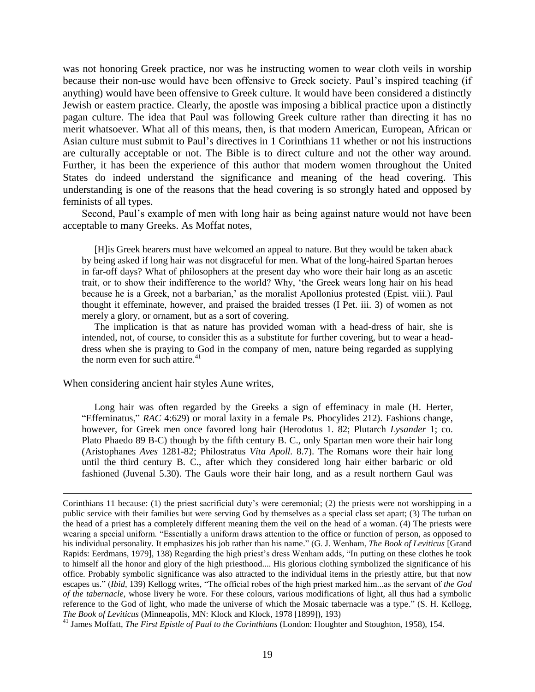was not honoring Greek practice, nor was he instructing women to wear cloth veils in worship because their non-use would have been offensive to Greek society. Paul's inspired teaching (if anything) would have been offensive to Greek culture. It would have been considered a distinctly Jewish or eastern practice. Clearly, the apostle was imposing a biblical practice upon a distinctly pagan culture. The idea that Paul was following Greek culture rather than directing it has no merit whatsoever. What all of this means, then, is that modern American, European, African or Asian culture must submit to Paul's directives in 1 Corinthians 11 whether or not his instructions are culturally acceptable or not. The Bible is to direct culture and not the other way around. Further, it has been the experience of this author that modern women throughout the United States do indeed understand the significance and meaning of the head covering. This understanding is one of the reasons that the head covering is so strongly hated and opposed by feminists of all types.

Second, Paul's example of men with long hair as being against nature would not have been acceptable to many Greeks. As Moffat notes,

[H]is Greek hearers must have welcomed an appeal to nature. But they would be taken aback by being asked if long hair was not disgraceful for men. What of the long-haired Spartan heroes in far-off days? What of philosophers at the present day who wore their hair long as an ascetic trait, or to show their indifference to the world? Why, 'the Greek wears long hair on his head because he is a Greek, not a barbarian,' as the moralist Apollonius protested (Epist. viii.). Paul thought it effeminate, however, and praised the braided tresses (I Pet. iii. 3) of women as not merely a glory, or ornament, but as a sort of covering.

The implication is that as nature has provided woman with a head-dress of hair, she is intended, not, of course, to consider this as a substitute for further covering, but to wear a headdress when she is praying to God in the company of men, nature being regarded as supplying the norm even for such attire. $41$ 

When considering ancient hair styles Aune writes,

 $\overline{a}$ 

Long hair was often regarded by the Greeks a sign of effeminacy in male (H. Herter, "Effeminatus," *RAC* 4:629) or moral laxity in a female Ps. Phocylides 212). Fashions change, however, for Greek men once favored long hair (Herodotus 1. 82; Plutarch *Lysander* 1; co. Plato Phaedo 89 B-C) though by the fifth century B. C., only Spartan men wore their hair long (Aristophanes *Aves* 1281-82; Philostratus *Vita Apoll.* 8.7). The Romans wore their hair long until the third century B. C., after which they considered long hair either barbaric or old fashioned (Juvenal 5.30). The Gauls wore their hair long, and as a result northern Gaul was

Corinthians 11 because: (1) the priest sacrificial duty's were ceremonial; (2) the priests were not worshipping in a public service with their families but were serving God by themselves as a special class set apart; (3) The turban on the head of a priest has a completely different meaning them the veil on the head of a woman. (4) The priests were wearing a special uniform. "Essentially a uniform draws attention to the office or function of person, as opposed to his individual personality. It emphasizes his job rather than his name." (G. J. Wenham, *The Book of Leviticus* [Grand Rapids: Eerdmans, 1979], 138) Regarding the high priest's dress Wenham adds, "In putting on these clothes he took to himself all the honor and glory of the high priesthood.... His glorious clothing symbolized the significance of his office. Probably symbolic significance was also attracted to the individual items in the priestly attire, but that now escapes us." (*Ibid*, 139) Kellogg writes, "The official robes of the high priest marked him...as the servant of *the God of the tabernacle*, whose livery he wore. For these colours, various modifications of light, all thus had a symbolic reference to the God of light, who made the universe of which the Mosaic tabernacle was a type." (S. H. Kellogg, *The Book of Leviticus* (Minneapolis, MN: Klock and Klock, 1978 [1899]), 193)

<sup>&</sup>lt;sup>41</sup> James Moffatt, *The First Epistle of Paul to the Corinthians* (London: Houghter and Stoughton, 1958), 154.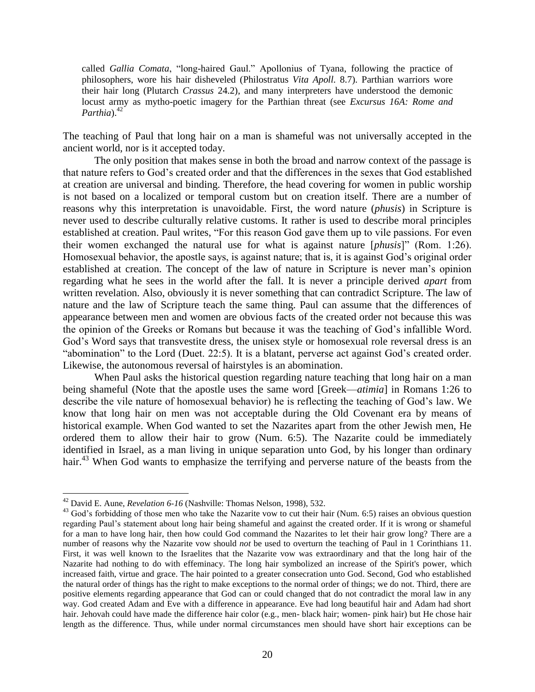called *Gallia Comata*, "long-haired Gaul." Apollonius of Tyana, following the practice of philosophers, wore his hair disheveled (Philostratus *Vita Apoll.* 8.7). Parthian warriors wore their hair long (Plutarch *Crassus* 24.2), and many interpreters have understood the demonic locust army as mytho-poetic imagery for the Parthian threat (see *Excursus 16A: Rome and Parthia*).<sup>42</sup>

The teaching of Paul that long hair on a man is shameful was not universally accepted in the ancient world, nor is it accepted today.

The only position that makes sense in both the broad and narrow context of the passage is that nature refers to God's created order and that the differences in the sexes that God established at creation are universal and binding. Therefore, the head covering for women in public worship is not based on a localized or temporal custom but on creation itself. There are a number of reasons why this interpretation is unavoidable. First, the word nature (*phusis*) in Scripture is never used to describe culturally relative customs. It rather is used to describe moral principles established at creation. Paul writes, "For this reason God gave them up to vile passions. For even their women exchanged the natural use for what is against nature [*phusis*]" (Rom. 1:26). Homosexual behavior, the apostle says, is against nature; that is, it is against God's original order established at creation. The concept of the law of nature in Scripture is never man's opinion regarding what he sees in the world after the fall. It is never a principle derived *apart* from written revelation. Also, obviously it is never something that can contradict Scripture. The law of nature and the law of Scripture teach the same thing. Paul can assume that the differences of appearance between men and women are obvious facts of the created order not because this was the opinion of the Greeks or Romans but because it was the teaching of God's infallible Word. God's Word says that transvestite dress, the unisex style or homosexual role reversal dress is an "abomination" to the Lord (Duet. 22:5). It is a blatant, perverse act against God's created order. Likewise, the autonomous reversal of hairstyles is an abomination.

When Paul asks the historical question regarding nature teaching that long hair on a man being shameful (Note that the apostle uses the same word [Greek—*atimia*] in Romans 1:26 to describe the vile nature of homosexual behavior) he is reflecting the teaching of God's law. We know that long hair on men was not acceptable during the Old Covenant era by means of historical example. When God wanted to set the Nazarites apart from the other Jewish men, He ordered them to allow their hair to grow (Num. 6:5). The Nazarite could be immediately identified in Israel, as a man living in unique separation unto God, by his longer than ordinary hair.<sup>43</sup> When God wants to emphasize the terrifying and perverse nature of the beasts from the

<sup>42</sup> David E. Aune, *Revelation 6-16* (Nashville: Thomas Nelson, 1998), 532.

<sup>&</sup>lt;sup>43</sup> God's forbidding of those men who take the Nazarite vow to cut their hair (Num. 6:5) raises an obvious question regarding Paul's statement about long hair being shameful and against the created order. If it is wrong or shameful for a man to have long hair, then how could God command the Nazarites to let their hair grow long? There are a number of reasons why the Nazarite vow should *not* be used to overturn the teaching of Paul in 1 Corinthians 11. First, it was well known to the Israelites that the Nazarite vow was extraordinary and that the long hair of the Nazarite had nothing to do with effeminacy. The long hair symbolized an increase of the Spirit's power, which increased faith, virtue and grace. The hair pointed to a greater consecration unto God. Second, God who established the natural order of things has the right to make exceptions to the normal order of things; we do not. Third, there are positive elements regarding appearance that God can or could changed that do not contradict the moral law in any way. God created Adam and Eve with a difference in appearance. Eve had long beautiful hair and Adam had short hair. Jehovah could have made the difference hair color (e.g., men- black hair; women- pink hair) but He chose hair length as the difference. Thus, while under normal circumstances men should have short hair exceptions can be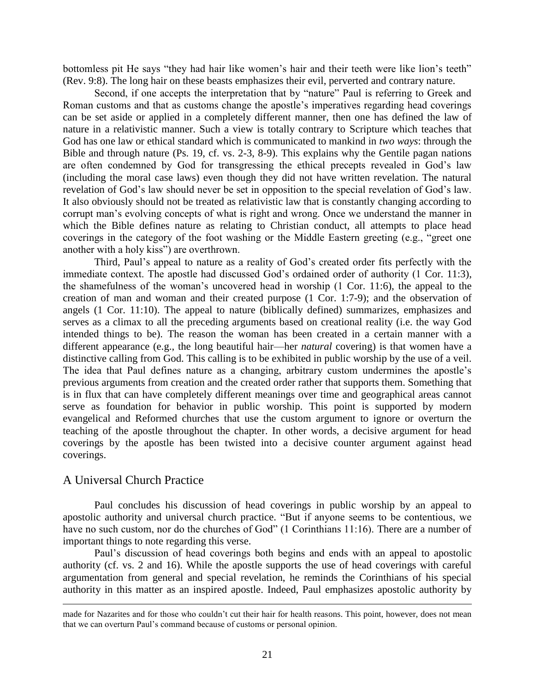bottomless pit He says "they had hair like women's hair and their teeth were like lion's teeth" (Rev. 9:8). The long hair on these beasts emphasizes their evil, perverted and contrary nature.

Second, if one accepts the interpretation that by "nature" Paul is referring to Greek and Roman customs and that as customs change the apostle's imperatives regarding head coverings can be set aside or applied in a completely different manner, then one has defined the law of nature in a relativistic manner. Such a view is totally contrary to Scripture which teaches that God has one law or ethical standard which is communicated to mankind in *two ways*: through the Bible and through nature (Ps. 19, cf. vs. 2-3, 8-9). This explains why the Gentile pagan nations are often condemned by God for transgressing the ethical precepts revealed in God's law (including the moral case laws) even though they did not have written revelation. The natural revelation of God's law should never be set in opposition to the special revelation of God's law. It also obviously should not be treated as relativistic law that is constantly changing according to corrupt man's evolving concepts of what is right and wrong. Once we understand the manner in which the Bible defines nature as relating to Christian conduct, all attempts to place head coverings in the category of the foot washing or the Middle Eastern greeting (e.g., "greet one another with a holy kiss") are overthrown.

Third, Paul's appeal to nature as a reality of God's created order fits perfectly with the immediate context. The apostle had discussed God's ordained order of authority (1 Cor. 11:3), the shamefulness of the woman's uncovered head in worship (1 Cor. 11:6), the appeal to the creation of man and woman and their created purpose (1 Cor. 1:7-9); and the observation of angels (1 Cor. 11:10). The appeal to nature (biblically defined) summarizes, emphasizes and serves as a climax to all the preceding arguments based on creational reality (i.e. the way God intended things to be). The reason the woman has been created in a certain manner with a different appearance (e.g., the long beautiful hair—her *natural* covering) is that women have a distinctive calling from God. This calling is to be exhibited in public worship by the use of a veil. The idea that Paul defines nature as a changing, arbitrary custom undermines the apostle's previous arguments from creation and the created order rather that supports them. Something that is in flux that can have completely different meanings over time and geographical areas cannot serve as foundation for behavior in public worship. This point is supported by modern evangelical and Reformed churches that use the custom argument to ignore or overturn the teaching of the apostle throughout the chapter. In other words, a decisive argument for head coverings by the apostle has been twisted into a decisive counter argument against head coverings.

## A Universal Church Practice

 $\overline{a}$ 

Paul concludes his discussion of head coverings in public worship by an appeal to apostolic authority and universal church practice. "But if anyone seems to be contentious, we have no such custom, nor do the churches of God" (1 Corinthians 11:16). There are a number of important things to note regarding this verse.

Paul's discussion of head coverings both begins and ends with an appeal to apostolic authority (cf. vs. 2 and 16). While the apostle supports the use of head coverings with careful argumentation from general and special revelation, he reminds the Corinthians of his special authority in this matter as an inspired apostle. Indeed, Paul emphasizes apostolic authority by

made for Nazarites and for those who couldn't cut their hair for health reasons. This point, however, does not mean that we can overturn Paul's command because of customs or personal opinion.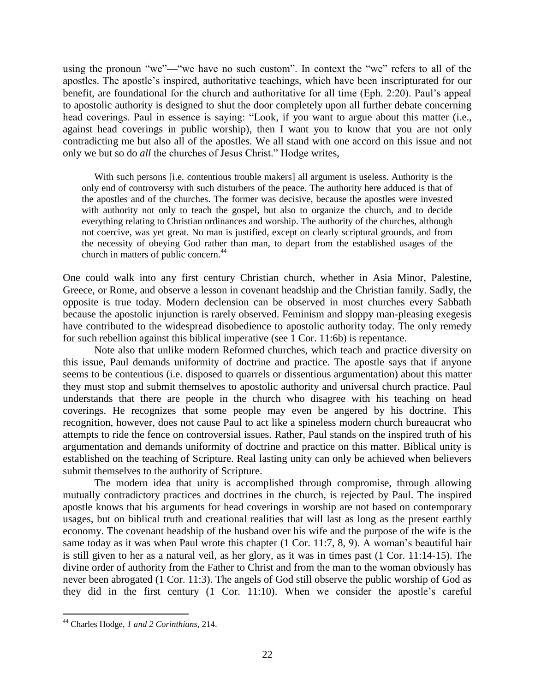using the pronoun "we"—"we have no such custom". In context the "we" refers to all of the apostles. The apostle's inspired, authoritative teachings, which have been inscripturated for our benefit, are foundational for the church and authoritative for all time (Eph. 2:20). Paul's appeal to apostolic authority is designed to shut the door completely upon all further debate concerning head coverings. Paul in essence is saying: "Look, if you want to argue about this matter (i.e., against head coverings in public worship), then I want you to know that you are not only contradicting me but also all of the apostles. We all stand with one accord on this issue and not only we but so do *all* the churches of Jesus Christ." Hodge writes,

With such persons [i.e. contentious trouble makers] all argument is useless. Authority is the only end of controversy with such disturbers of the peace. The authority here adduced is that of the apostles and of the churches. The former was decisive, because the apostles were invested with authority not only to teach the gospel, but also to organize the church, and to decide everything relating to Christian ordinances and worship. The authority of the churches, although not coercive, was yet great. No man is justified, except on clearly scriptural grounds, and from the necessity of obeying God rather than man, to depart from the established usages of the church in matters of public concern.<sup>44</sup>

One could walk into any first century Christian church, whether in Asia Minor, Palestine, Greece, or Rome, and observe a lesson in covenant headship and the Christian family. Sadly, the opposite is true today. Modern declension can be observed in most churches every Sabbath because the apostolic injunction is rarely observed. Feminism and sloppy man-pleasing exegesis have contributed to the widespread disobedience to apostolic authority today. The only remedy for such rebellion against this biblical imperative (see 1 Cor. 11:6b) is repentance.

Note also that unlike modern Reformed churches, which teach and practice diversity on this issue, Paul demands uniformity of doctrine and practice. The apostle says that if anyone seems to be contentious (i.e. disposed to quarrels or dissentious argumentation) about this matter they must stop and submit themselves to apostolic authority and universal church practice. Paul understands that there are people in the church who disagree with his teaching on head coverings. He recognizes that some people may even be angered by his doctrine. This recognition, however, does not cause Paul to act like a spineless modern church bureaucrat who attempts to ride the fence on controversial issues. Rather, Paul stands on the inspired truth of his argumentation and demands uniformity of doctrine and practice on this matter. Biblical unity is established on the teaching of Scripture. Real lasting unity can only be achieved when believers submit themselves to the authority of Scripture.

The modern idea that unity is accomplished through compromise, through allowing mutually contradictory practices and doctrines in the church, is rejected by Paul. The inspired apostle knows that his arguments for head coverings in worship are not based on contemporary usages, but on biblical truth and creational realities that will last as long as the present earthly economy. The covenant headship of the husband over his wife and the purpose of the wife is the same today as it was when Paul wrote this chapter (1 Cor. 11:7, 8, 9). A woman's beautiful hair is still given to her as a natural veil, as her glory, as it was in times past (1 Cor. 11:14-15). The divine order of authority from the Father to Christ and from the man to the woman obviously has never been abrogated (1 Cor. 11:3). The angels of God still observe the public worship of God as they did in the first century (1 Cor. 11:10). When we consider the apostle's careful

<sup>44</sup> Charles Hodge, *1 and 2 Corinthians*, 214.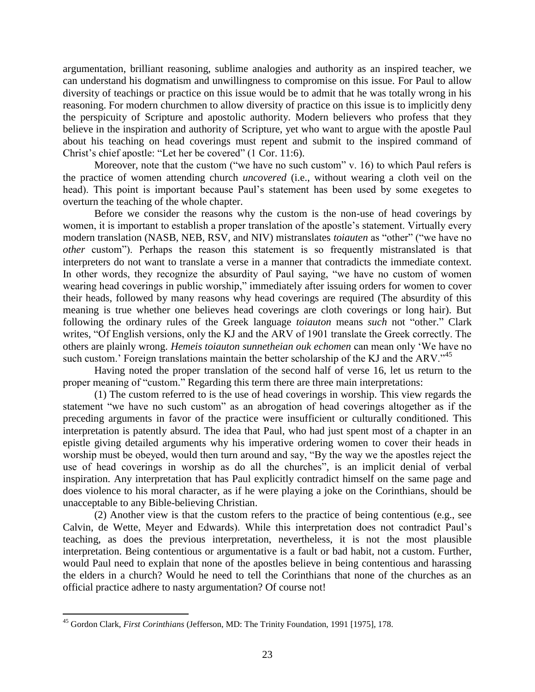argumentation, brilliant reasoning, sublime analogies and authority as an inspired teacher, we can understand his dogmatism and unwillingness to compromise on this issue. For Paul to allow diversity of teachings or practice on this issue would be to admit that he was totally wrong in his reasoning. For modern churchmen to allow diversity of practice on this issue is to implicitly deny the perspicuity of Scripture and apostolic authority. Modern believers who profess that they believe in the inspiration and authority of Scripture, yet who want to argue with the apostle Paul about his teaching on head coverings must repent and submit to the inspired command of Christ's chief apostle: "Let her be covered" (1 Cor. 11:6).

Moreover, note that the custom ("we have no such custom" v. 16) to which Paul refers is the practice of women attending church *uncovered* (i.e., without wearing a cloth veil on the head). This point is important because Paul's statement has been used by some exegetes to overturn the teaching of the whole chapter.

Before we consider the reasons why the custom is the non-use of head coverings by women, it is important to establish a proper translation of the apostle's statement. Virtually every modern translation (NASB, NEB, RSV, and NIV) mistranslates *toiauten* as "other" ("we have no *other* custom"). Perhaps the reason this statement is so frequently mistranslated is that interpreters do not want to translate a verse in a manner that contradicts the immediate context. In other words, they recognize the absurdity of Paul saying, "we have no custom of women wearing head coverings in public worship," immediately after issuing orders for women to cover their heads, followed by many reasons why head coverings are required (The absurdity of this meaning is true whether one believes head coverings are cloth coverings or long hair). But following the ordinary rules of the Greek language *toiauton* means *such* not "other." Clark writes, "Of English versions, only the KJ and the ARV of 1901 translate the Greek correctly. The others are plainly wrong. *Hemeis toiauton sunnetheian ouk echomen* can mean only 'We have no such custom.' Foreign translations maintain the better scholarship of the KJ and the ARV."<sup>45</sup>

Having noted the proper translation of the second half of verse 16, let us return to the proper meaning of "custom." Regarding this term there are three main interpretations:

(1) The custom referred to is the use of head coverings in worship. This view regards the statement "we have no such custom" as an abrogation of head coverings altogether as if the preceding arguments in favor of the practice were insufficient or culturally conditioned. This interpretation is patently absurd. The idea that Paul, who had just spent most of a chapter in an epistle giving detailed arguments why his imperative ordering women to cover their heads in worship must be obeyed, would then turn around and say, "By the way we the apostles reject the use of head coverings in worship as do all the churches", is an implicit denial of verbal inspiration. Any interpretation that has Paul explicitly contradict himself on the same page and does violence to his moral character, as if he were playing a joke on the Corinthians, should be unacceptable to any Bible-believing Christian.

(2) Another view is that the custom refers to the practice of being contentious (e.g., see Calvin, de Wette, Meyer and Edwards). While this interpretation does not contradict Paul's teaching, as does the previous interpretation, nevertheless, it is not the most plausible interpretation. Being contentious or argumentative is a fault or bad habit, not a custom. Further, would Paul need to explain that none of the apostles believe in being contentious and harassing the elders in a church? Would he need to tell the Corinthians that none of the churches as an official practice adhere to nasty argumentation? Of course not!

<sup>45</sup> Gordon Clark, *First Corinthians* (Jefferson, MD: The Trinity Foundation, 1991 [1975], 178.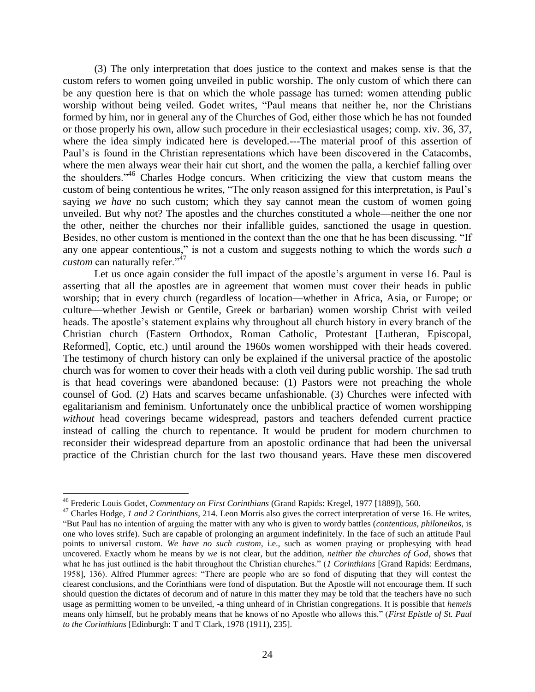(3) The only interpretation that does justice to the context and makes sense is that the custom refers to women going unveiled in public worship. The only custom of which there can be any question here is that on which the whole passage has turned: women attending public worship without being veiled. Godet writes, "Paul means that neither he, nor the Christians formed by him, nor in general any of the Churches of God, either those which he has not founded or those properly his own, allow such procedure in their ecclesiastical usages; comp. xiv. 36, 37, where the idea simply indicated here is developed.---The material proof of this assertion of Paul's is found in the Christian representations which have been discovered in the Catacombs, where the men always wear their hair cut short, and the women the palla, a kerchief falling over the shoulders.<sup>"46</sup> Charles Hodge concurs. When criticizing the view that custom means the custom of being contentious he writes, "The only reason assigned for this interpretation, is Paul's saying *we have* no such custom; which they say cannot mean the custom of women going unveiled. But why not? The apostles and the churches constituted a whole—neither the one nor the other, neither the churches nor their infallible guides, sanctioned the usage in question. Besides, no other custom is mentioned in the context than the one that he has been discussing. "If any one appear contentious," is not a custom and suggests nothing to which the words *such a custom* can naturally refer."<sup>47</sup>

Let us once again consider the full impact of the apostle's argument in verse 16. Paul is asserting that all the apostles are in agreement that women must cover their heads in public worship; that in every church (regardless of location—whether in Africa, Asia, or Europe; or culture—whether Jewish or Gentile, Greek or barbarian) women worship Christ with veiled heads. The apostle's statement explains why throughout all church history in every branch of the Christian church (Eastern Orthodox, Roman Catholic, Protestant [Lutheran, Episcopal, Reformed], Coptic, etc.) until around the 1960s women worshipped with their heads covered. The testimony of church history can only be explained if the universal practice of the apostolic church was for women to cover their heads with a cloth veil during public worship. The sad truth is that head coverings were abandoned because: (1) Pastors were not preaching the whole counsel of God. (2) Hats and scarves became unfashionable. (3) Churches were infected with egalitarianism and feminism. Unfortunately once the unbiblical practice of women worshipping *without* head coverings became widespread, pastors and teachers defended current practice instead of calling the church to repentance. It would be prudent for modern churchmen to reconsider their widespread departure from an apostolic ordinance that had been the universal practice of the Christian church for the last two thousand years. Have these men discovered

<sup>46</sup> Frederic Louis Godet, *Commentary on First Corinthians* (Grand Rapids: Kregel, 1977 [1889]), 560.

<sup>47</sup> Charles Hodge, *1 and 2 Corinthians*, 214. Leon Morris also gives the correct interpretation of verse 16. He writes, "But Paul has no intention of arguing the matter with any who is given to wordy battles (*contentious, philoneikos*, is one who loves strife). Such are capable of prolonging an argument indefinitely. In the face of such an attitude Paul points to universal custom. We have no such custom, i.e., such as women praying or prophesying with head uncovered. Exactly whom he means by *we* is not clear, but the addition, *neither the churches of God*, shows that what he has just outlined is the habit throughout the Christian churches." (*1 Corinthians* [Grand Rapids: Eerdmans, 1958], 136). Alfred Plummer agrees: "There are people who are so fond of disputing that they will contest the clearest conclusions, and the Corinthians were fond of disputation. But the Apostle will not encourage them. If such should question the dictates of decorum and of nature in this matter they may be told that the teachers have no such usage as permitting women to be unveiled, -a thing unheard of in Christian congregations. It is possible that *hemeis* means only himself, but he probably means that he knows of no Apostle who allows this." (*First Epistle of St. Paul to the Corinthians* [Edinburgh: T and T Clark, 1978 (1911), 235].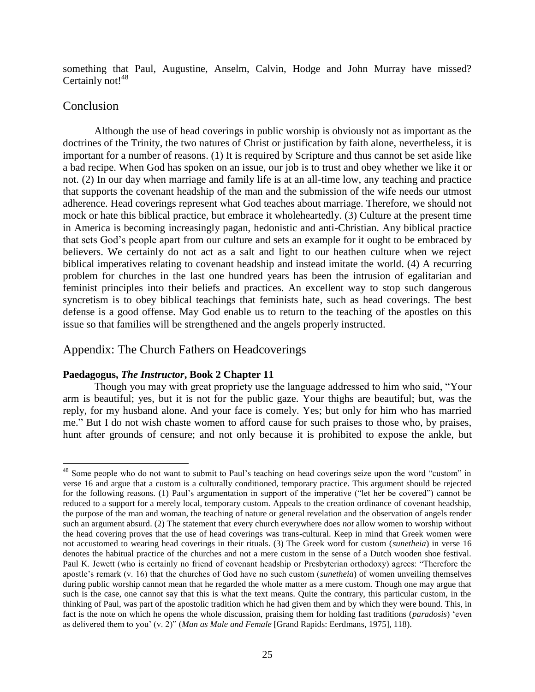something that Paul, Augustine, Anselm, Calvin, Hodge and John Murray have missed? Certainly not!<sup>48</sup>

# Conclusion

 $\overline{a}$ 

Although the use of head coverings in public worship is obviously not as important as the doctrines of the Trinity, the two natures of Christ or justification by faith alone, nevertheless, it is important for a number of reasons. (1) It is required by Scripture and thus cannot be set aside like a bad recipe. When God has spoken on an issue, our job is to trust and obey whether we like it or not. (2) In our day when marriage and family life is at an all-time low, any teaching and practice that supports the covenant headship of the man and the submission of the wife needs our utmost adherence. Head coverings represent what God teaches about marriage. Therefore, we should not mock or hate this biblical practice, but embrace it wholeheartedly. (3) Culture at the present time in America is becoming increasingly pagan, hedonistic and anti-Christian. Any biblical practice that sets God's people apart from our culture and sets an example for it ought to be embraced by believers. We certainly do not act as a salt and light to our heathen culture when we reject biblical imperatives relating to covenant headship and instead imitate the world. (4) A recurring problem for churches in the last one hundred years has been the intrusion of egalitarian and feminist principles into their beliefs and practices. An excellent way to stop such dangerous syncretism is to obey biblical teachings that feminists hate, such as head coverings. The best defense is a good offense. May God enable us to return to the teaching of the apostles on this issue so that families will be strengthened and the angels properly instructed.

# Appendix: The Church Fathers on Headcoverings

## **Paedagogus,** *The Instructor***, Book 2 Chapter 11**

Though you may with great propriety use the language addressed to him who said, "Your arm is beautiful; yes, but it is not for the public gaze. Your thighs are beautiful; but, was the reply, for my husband alone. And your face is comely. Yes; but only for him who has married me." But I do not wish chaste women to afford cause for such praises to those who, by praises, hunt after grounds of censure; and not only because it is prohibited to expose the ankle, but

<sup>&</sup>lt;sup>48</sup> Some people who do not want to submit to Paul's teaching on head coverings seize upon the word "custom" in verse 16 and argue that a custom is a culturally conditioned, temporary practice. This argument should be rejected for the following reasons. (1) Paul's argumentation in support of the imperative ("let her be covered") cannot be reduced to a support for a merely local, temporary custom. Appeals to the creation ordinance of covenant headship, the purpose of the man and woman, the teaching of nature or general revelation and the observation of angels render such an argument absurd. (2) The statement that every church everywhere does *not* allow women to worship without the head covering proves that the use of head coverings was trans-cultural. Keep in mind that Greek women were not accustomed to wearing head coverings in their rituals. (3) The Greek word for custom (*sunetheia*) in verse 16 denotes the habitual practice of the churches and not a mere custom in the sense of a Dutch wooden shoe festival. Paul K. Jewett (who is certainly no friend of covenant headship or Presbyterian orthodoxy) agrees: "Therefore the apostle's remark (v. 16) that the churches of God have no such custom (*sunetheia*) of women unveiling themselves during public worship cannot mean that he regarded the whole matter as a mere custom. Though one may argue that such is the case, one cannot say that this is what the text means. Quite the contrary, this particular custom, in the thinking of Paul, was part of the apostolic tradition which he had given them and by which they were bound. This, in fact is the note on which he opens the whole discussion, praising them for holding fast traditions (*paradosis*) 'even as delivered them to you' (v. 2)" (*Man as Male and Female* [Grand Rapids: Eerdmans, 1975], 118).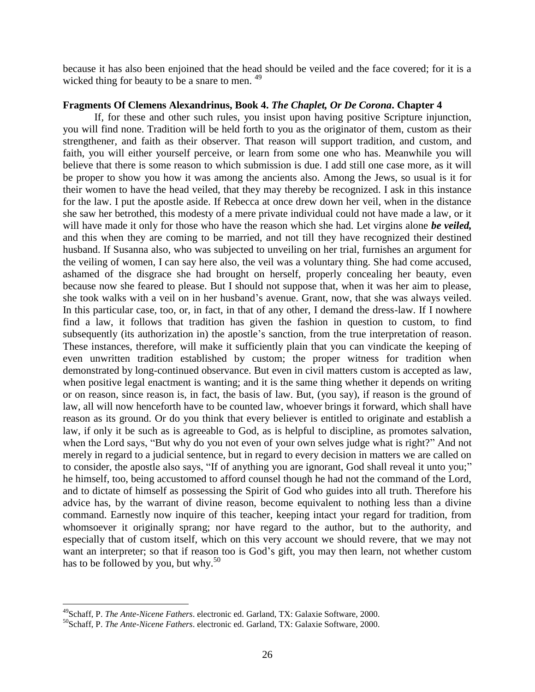because it has also been enjoined that the head should be veiled and the face covered; for it is a wicked thing for beauty to be a snare to men. <sup>49</sup>

#### **Fragments Of Clemens Alexandrinus, Book 4.** *The Chaplet, Or De Corona***. Chapter 4**

If, for these and other such rules, you insist upon having positive Scripture injunction, you will find none. Tradition will be held forth to you as the originator of them, custom as their strengthener, and faith as their observer. That reason will support tradition, and custom, and faith, you will either yourself perceive, or learn from some one who has. Meanwhile you will believe that there is some reason to which submission is due. I add still one case more, as it will be proper to show you how it was among the ancients also. Among the Jews, so usual is it for their women to have the head veiled, that they may thereby be recognized. I ask in this instance for the law. I put the apostle aside. If Rebecca at once drew down her veil, when in the distance she saw her betrothed, this modesty of a mere private individual could not have made a law, or it will have made it only for those who have the reason which she had. Let virgins alone *be veiled,* and this when they are coming to be married, and not till they have recognized their destined husband. If Susanna also, who was subjected to unveiling on her trial, furnishes an argument for the veiling of women, I can say here also, the veil was a voluntary thing. She had come accused, ashamed of the disgrace she had brought on herself, properly concealing her beauty, even because now she feared to please. But I should not suppose that, when it was her aim to please, she took walks with a veil on in her husband's avenue. Grant, now, that she was always veiled. In this particular case, too, or, in fact, in that of any other, I demand the dress-law. If I nowhere find a law, it follows that tradition has given the fashion in question to custom, to find subsequently (its authorization in) the apostle's sanction, from the true interpretation of reason. These instances, therefore, will make it sufficiently plain that you can vindicate the keeping of even unwritten tradition established by custom; the proper witness for tradition when demonstrated by long-continued observance. But even in civil matters custom is accepted as law, when positive legal enactment is wanting; and it is the same thing whether it depends on writing or on reason, since reason is, in fact, the basis of law. But, (you say), if reason is the ground of law, all will now henceforth have to be counted law, whoever brings it forward, which shall have reason as its ground. Or do you think that every believer is entitled to originate and establish a law, if only it be such as is agreeable to God, as is helpful to discipline, as promotes salvation, when the Lord says, "But why do you not even of your own selves judge what is right?" And not merely in regard to a judicial sentence, but in regard to every decision in matters we are called on to consider, the apostle also says, "If of anything you are ignorant, God shall reveal it unto you;" he himself, too, being accustomed to afford counsel though he had not the command of the Lord, and to dictate of himself as possessing the Spirit of God who guides into all truth. Therefore his advice has, by the warrant of divine reason, become equivalent to nothing less than a divine command. Earnestly now inquire of this teacher, keeping intact your regard for tradition, from whomsoever it originally sprang; nor have regard to the author, but to the authority, and especially that of custom itself, which on this very account we should revere, that we may not want an interpreter; so that if reason too is God's gift, you may then learn, not whether custom has to be followed by you, but why. $50$ 

<sup>49</sup>Schaff, P. *The Ante-Nicene Fathers*. electronic ed. Garland, TX: Galaxie Software, 2000.

<sup>50</sup>Schaff, P. *The Ante-Nicene Fathers*. electronic ed. Garland, TX: Galaxie Software, 2000.